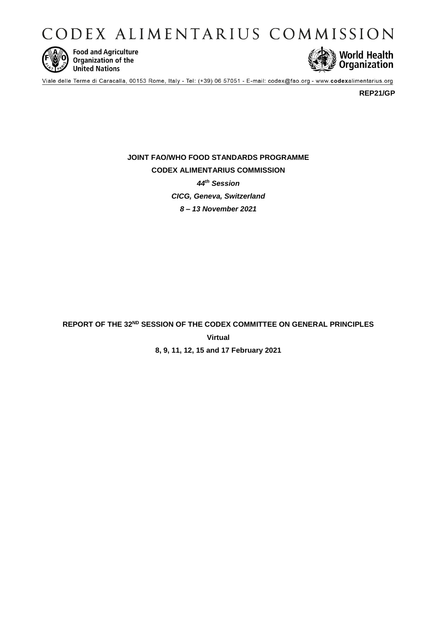CODEX ALIMENTARIUS COMMISSION



**Food and Agriculture**<br>Organization of the **United Nations** 



Viale delle Terme di Caracalla, 00153 Rome, Italy - Tel: (+39) 06 57051 - E-mail: codex@fao.org - www.codexalimentarius.org

**REP21/GP**

**JOINT FAO/WHO FOOD STANDARDS PROGRAMME CODEX ALIMENTARIUS COMMISSION** *44th Session CICG, Geneva, Switzerland 8 – 13 November 2021*

**REPORT OF THE 32ND SESSION OF THE CODEX COMMITTEE ON GENERAL PRINCIPLES Virtual 8, 9, 11, 12, 15 and 17 February 2021**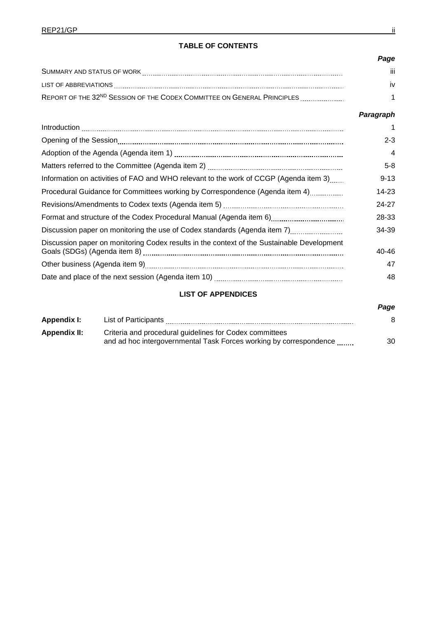|                                                                                     | Page |
|-------------------------------------------------------------------------------------|------|
| SUMMARY AND STATUS OF WORK                                                          | iii  |
| LIST OF ABBREVIATIONS                                                               | iv   |
| REPORT OF THE 32 <sup>ND</sup> SESSION OF THE CODEX COMMITTEE ON GENERAL PRINCIPLES |      |

## *Paragraph*

*Page*

|                                                                                            | 1        |
|--------------------------------------------------------------------------------------------|----------|
|                                                                                            | $2 - 3$  |
|                                                                                            | 4        |
|                                                                                            | $5 - 8$  |
| Information on activities of FAO and WHO relevant to the work of CCGP (Agenda item 3)      | $9 - 13$ |
| Procedural Guidance for Committees working by Correspondence (Agenda item 4)               | 14-23    |
|                                                                                            | 24-27    |
|                                                                                            | 28-33    |
| Discussion paper on monitoring the use of Codex standards (Agenda item 7)                  | 34-39    |
| Discussion paper on monitoring Codex results in the context of the Sustainable Development | 40-46    |
|                                                                                            | 47       |
|                                                                                            | 48       |

# **LIST OF APPENDICES**

# Appendix I: List of Participants **2008 Appendix I:** 28 **Appendix II:** Criteria and procedural guidelines for Codex committees and ad hoc intergovernmental Task Forces working by correspondence 30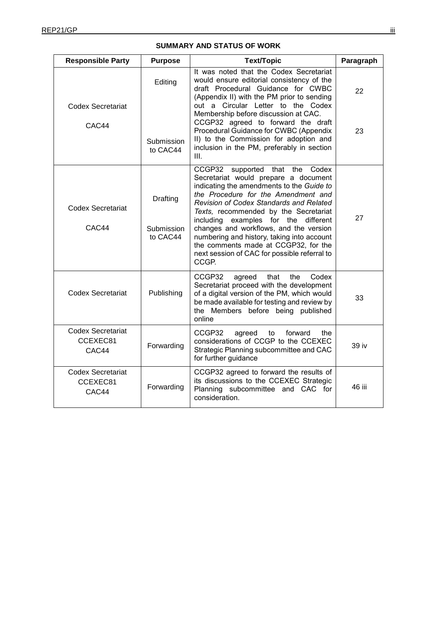| <b>Responsible Party</b>                      | <b>Purpose</b>                     | <b>Text/Topic</b>                                                                                                                                                                                                                                                                                                                                                                                                                                                                      | Paragraph |
|-----------------------------------------------|------------------------------------|----------------------------------------------------------------------------------------------------------------------------------------------------------------------------------------------------------------------------------------------------------------------------------------------------------------------------------------------------------------------------------------------------------------------------------------------------------------------------------------|-----------|
| <b>Codex Secretariat</b><br>CAC44             | Editing<br>Submission<br>to CAC44  | It was noted that the Codex Secretariat<br>would ensure editorial consistency of the<br>draft Procedural Guidance for CWBC<br>(Appendix II) with the PM prior to sending<br>out a Circular Letter to the Codex<br>Membership before discussion at CAC.<br>CCGP32 agreed to forward the draft<br>Procedural Guidance for CWBC (Appendix<br>II) to the Commission for adoption and<br>inclusion in the PM, preferably in section<br>III.                                                 | 22<br>23  |
| <b>Codex Secretariat</b><br>CAC44             | Drafting<br>Submission<br>to CAC44 | CCGP32<br>supported that the<br>Codex<br>Secretariat would prepare a document<br>indicating the amendments to the Guide to<br>the Procedure for the Amendment and<br>Revision of Codex Standards and Related<br>Texts, recommended by the Secretariat<br>including examples for the different<br>changes and workflows, and the version<br>numbering and history, taking into account<br>the comments made at CCGP32, for the<br>next session of CAC for possible referral to<br>CCGP. | 27        |
| Codex Secretariat                             | Publishing                         | CCGP32<br>that<br>the<br>Codex<br>agreed<br>Secretariat proceed with the development<br>of a digital version of the PM, which would<br>be made available for testing and review by<br>the Members before being published<br>online                                                                                                                                                                                                                                                     | 33        |
| <b>Codex Secretariat</b><br>CCEXEC81<br>CAC44 | Forwarding                         | CCGP32<br>forward<br>agreed<br>to<br>the<br>considerations of CCGP to the CCEXEC<br>Strategic Planning subcommittee and CAC<br>for further guidance                                                                                                                                                                                                                                                                                                                                    | 39 iv     |
| <b>Codex Secretariat</b><br>CCEXEC81<br>CAC44 | Forwarding                         | CCGP32 agreed to forward the results of<br>its discussions to the CCEXEC Strategic<br>Planning subcommittee and CAC for<br>consideration.                                                                                                                                                                                                                                                                                                                                              | 46 iii    |

# **SUMMARY AND STATUS OF WORK**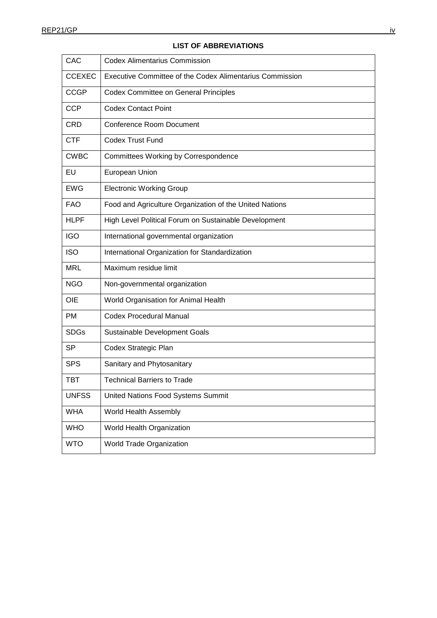| CAC           | <b>Codex Alimentarius Commission</b>                     |
|---------------|----------------------------------------------------------|
| <b>CCEXEC</b> | Executive Committee of the Codex Alimentarius Commission |
| <b>CCGP</b>   | <b>Codex Committee on General Principles</b>             |
| <b>CCP</b>    | <b>Codex Contact Point</b>                               |
| <b>CRD</b>    | <b>Conference Room Document</b>                          |
| <b>CTF</b>    | <b>Codex Trust Fund</b>                                  |
| <b>CWBC</b>   | Committees Working by Correspondence                     |
| EU            | European Union                                           |
| <b>EWG</b>    | <b>Electronic Working Group</b>                          |
| <b>FAO</b>    | Food and Agriculture Organization of the United Nations  |
| <b>HLPF</b>   | High Level Political Forum on Sustainable Development    |
| <b>IGO</b>    | International governmental organization                  |
| <b>ISO</b>    | International Organization for Standardization           |
| <b>MRL</b>    | Maximum residue limit                                    |
| <b>NGO</b>    | Non-governmental organization                            |
| OIE           | World Organisation for Animal Health                     |
| <b>PM</b>     | <b>Codex Procedural Manual</b>                           |
| <b>SDGs</b>   | Sustainable Development Goals                            |
| <b>SP</b>     | Codex Strategic Plan                                     |
| <b>SPS</b>    | Sanitary and Phytosanitary                               |
| <b>TBT</b>    | <b>Technical Barriers to Trade</b>                       |
| <b>UNFSS</b>  | United Nations Food Systems Summit                       |
| <b>WHA</b>    | World Health Assembly                                    |
| <b>WHO</b>    | World Health Organization                                |
| <b>WTO</b>    | World Trade Organization                                 |

## **LIST OF ABBREVIATIONS**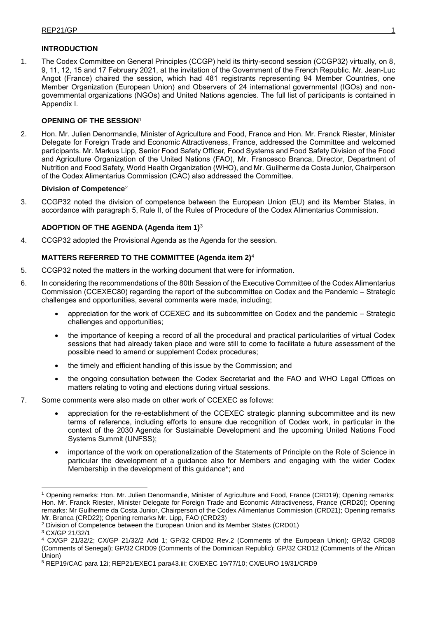## **INTRODUCTION**

1. The Codex Committee on General Principles (CCGP) held its thirty-second session (CCGP32) virtually, on 8, 9, 11, 12, 15 and 17 February 2021, at the invitation of the Government of the French Republic. Mr. Jean-Luc Angot (France) chaired the session, which had 481 registrants representing 94 Member Countries, one Member Organization (European Union) and Observers of 24 international governmental (IGOs) and nongovernmental organizations (NGOs) and United Nations agencies. The full list of participants is contained in Appendix I.

## **OPENING OF THE SESSION**<sup>1</sup>

2. Hon. Mr. Julien Denormandie, Minister of Agriculture and Food, France and Hon. Mr. Franck Riester, Minister Delegate for Foreign Trade and Economic Attractiveness, France, addressed the Committee and welcomed participants. Mr. Markus Lipp, Senior Food Safety Officer, Food Systems and Food Safety Division of the Food and Agriculture Organization of the United Nations (FAO), Mr. Francesco Branca, Director, Department of Nutrition and Food Safety, World Health Organization (WHO), and Mr. Guilherme da Costa Junior, Chairperson of the Codex Alimentarius Commission (CAC) also addressed the Committee.

## **Division of Competence**<sup>2</sup>

3. CCGP32 noted the division of competence between the European Union (EU) and its Member States, in accordance with paragraph 5, Rule II, of the Rules of Procedure of the Codex Alimentarius Commission.

## **ADOPTION OF THE AGENDA (Agenda item 1)**<sup>3</sup>

4. CCGP32 adopted the Provisional Agenda as the Agenda for the session.

## **MATTERS REFERRED TO THE COMMITTEE (Agenda item 2)**<sup>4</sup>

- 5. CCGP32 noted the matters in the working document that were for information.
- 6. In considering the recommendations of the 80th Session of the Executive Committee of the Codex Alimentarius Commission (CCEXEC80) regarding the report of the subcommittee on Codex and the Pandemic – Strategic challenges and opportunities, several comments were made, including;
	- appreciation for the work of CCEXEC and its subcommittee on Codex and the pandemic Strategic challenges and opportunities;
	- the importance of keeping a record of all the procedural and practical particularities of virtual Codex sessions that had already taken place and were still to come to facilitate a future assessment of the possible need to amend or supplement Codex procedures;
	- the timely and efficient handling of this issue by the Commission; and
	- the ongoing consultation between the Codex Secretariat and the FAO and WHO Legal Offices on matters relating to voting and elections during virtual sessions.
- 7. Some comments were also made on other work of CCEXEC as follows:
	- appreciation for the re-establishment of the CCEXEC strategic planning subcommittee and its new terms of reference, including efforts to ensure due recognition of Codex work, in particular in the context of the 2030 Agenda for Sustainable Development and the upcoming United Nations Food Systems Summit (UNFSS);
	- importance of the work on operationalization of the Statements of Principle on the Role of Science in particular the development of a guidance also for Members and engaging with the wider Codex Membership in the development of this guidance<sup>5</sup>; and

-

<sup>1</sup> Opening remarks: Hon. Mr. Julien Denormandie, Minister of Agriculture and Food, France (CRD19); Opening remarks: Hon. Mr. Franck Riester, Minister Delegate for Foreign Trade and Economic Attractiveness, France (CRD20); Opening remarks: Mr Guilherme da Costa Junior, Chairperson of the Codex Alimentarius Commission (CRD21); Opening remarks Mr. Branca (CRD22); Opening remarks Mr. Lipp, FAO (CRD23)

<sup>&</sup>lt;sup>2</sup> Division of Competence between the European Union and its Member States (CRD01)

<sup>3</sup> CX/GP 21/32/1

<sup>4</sup> CX/GP 21/32/2; CX/GP 21/32/2 Add 1; GP/32 CRD02 Rev.2 (Comments of the European Union); GP/32 CRD08 (Comments of Senegal); GP/32 CRD09 (Comments of the Dominican Republic); GP/32 CRD12 (Comments of the African Union)

<sup>5</sup> REP19/CAC para 12i; REP21/EXEC1 para43.iii; CX/EXEC 19/77/10; CX/EURO 19/31/CRD9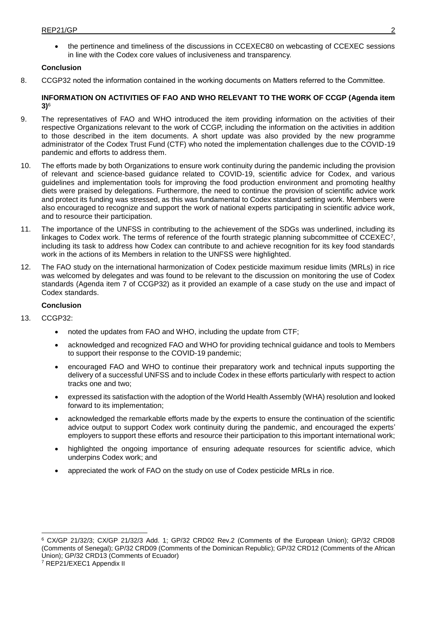the pertinence and timeliness of the discussions in CCEXEC80 on webcasting of CCEXEC sessions in line with the Codex core values of inclusiveness and transparency.

### **Conclusion**

8. CCGP32 noted the information contained in the working documents on Matters referred to the Committee.

### **INFORMATION ON ACTIVITIES OF FAO AND WHO RELEVANT TO THE WORK OF CCGP (Agenda item 3)**<sup>6</sup>

- 9. The representatives of FAO and WHO introduced the item providing information on the activities of their respective Organizations relevant to the work of CCGP, including the information on the activities in addition to those described in the item documents. A short update was also provided by the new programme administrator of the Codex Trust Fund (CTF) who noted the implementation challenges due to the COVID-19 pandemic and efforts to address them.
- 10. The efforts made by both Organizations to ensure work continuity during the pandemic including the provision of relevant and science-based guidance related to COVID-19, scientific advice for Codex, and various guidelines and implementation tools for improving the food production environment and promoting healthy diets were praised by delegations. Furthermore, the need to continue the provision of scientific advice work and protect its funding was stressed, as this was fundamental to Codex standard setting work. Members were also encouraged to recognize and support the work of national experts participating in scientific advice work, and to resource their participation.
- 11. The importance of the UNFSS in contributing to the achievement of the SDGs was underlined, including its linkages to Codex work. The terms of reference of the fourth strategic planning subcommittee of CCEXEC7, including its task to address how Codex can contribute to and achieve recognition for its key food standards work in the actions of its Members in relation to the UNFSS were highlighted.
- 12. The FAO study on the international harmonization of Codex pesticide maximum residue limits (MRLs) in rice was welcomed by delegates and was found to be relevant to the discussion on monitoring the use of Codex standards (Agenda item 7 of CCGP32) as it provided an example of a case study on the use and impact of Codex standards.

### **Conclusion**

13. CCGP32:

1

- noted the updates from FAO and WHO, including the update from CTF;
- acknowledged and recognized FAO and WHO for providing technical guidance and tools to Members to support their response to the COVID-19 pandemic;
- encouraged FAO and WHO to continue their preparatory work and technical inputs supporting the delivery of a successful UNFSS and to include Codex in these efforts particularly with respect to action tracks one and two;
- expressed its satisfaction with the adoption of the World Health Assembly (WHA) resolution and looked forward to its implementation;
- acknowledged the remarkable efforts made by the experts to ensure the continuation of the scientific advice output to support Codex work continuity during the pandemic, and encouraged the experts' employers to support these efforts and resource their participation to this important international work;
- highlighted the ongoing importance of ensuring adequate resources for scientific advice, which underpins Codex work; and
- appreciated the work of FAO on the study on use of Codex pesticide MRLs in rice.

<sup>7</sup> REP21/EXEC1 Appendix II

<sup>6</sup> CX/GP 21/32/3; CX/GP 21/32/3 Add. 1; GP/32 CRD02 Rev.2 (Comments of the European Union); GP/32 CRD08 (Comments of Senegal); GP/32 CRD09 (Comments of the Dominican Republic); GP/32 CRD12 (Comments of the African Union); GP/32 CRD13 (Comments of Ecuador)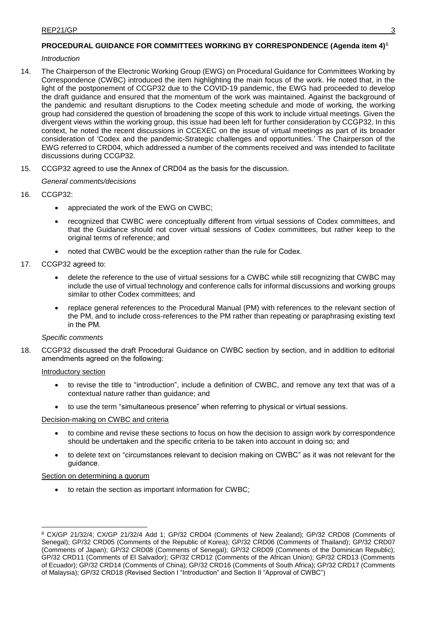## **PROCEDURAL GUIDANCE FOR COMMITTEES WORKING BY CORRESPONDENCE (Agenda item 4)**<sup>8</sup>

### *Introduction*

- 14. The Chairperson of the Electronic Working Group (EWG) on Procedural Guidance for Committees Working by Correspondence (CWBC) introduced the item highlighting the main focus of the work. He noted that, in the light of the postponement of CCGP32 due to the COVID-19 pandemic, the EWG had proceeded to develop the draft guidance and ensured that the momentum of the work was maintained. Against the background of the pandemic and resultant disruptions to the Codex meeting schedule and mode of working, the working group had considered the question of broadening the scope of this work to include virtual meetings. Given the divergent views within the working group, this issue had been left for further consideration by CCGP32. In this context, he noted the recent discussions in CCEXEC on the issue of virtual meetings as part of its broader consideration of 'Codex and the pandemic-Strategic challenges and opportunities.' The Chairperson of the EWG referred to CRD04, which addressed a number of the comments received and was intended to facilitate discussions during CCGP32.
- 15. CCGP32 agreed to use the Annex of CRD04 as the basis for the discussion.

## *General comments/decisions*

- 16. CCGP32:
	- appreciated the work of the EWG on CWBC;
	- recognized that CWBC were conceptually different from virtual sessions of Codex committees, and that the Guidance should not cover virtual sessions of Codex committees, but rather keep to the original terms of reference; and
	- noted that CWBC would be the exception rather than the rule for Codex.
- 17. CCGP32 agreed to:
	- delete the reference to the use of virtual sessions for a CWBC while still recognizing that CWBC may include the use of virtual technology and conference calls for informal discussions and working groups similar to other Codex committees; and
	- replace general references to the Procedural Manual (PM) with references to the relevant section of the PM, and to include cross-references to the PM rather than repeating or paraphrasing existing text in the PM.

## *Specific comments*

18. CCGP32 discussed the draft Procedural Guidance on CWBC section by section, and in addition to editorial amendments agreed on the following:

## Introductory section

- to revise the title to "introduction", include a definition of CWBC, and remove any text that was of a contextual nature rather than guidance; and
- to use the term "simultaneous presence" when referring to physical or virtual sessions.

## Decision-making on CWBC and criteria

- to combine and revise these sections to focus on how the decision to assign work by correspondence should be undertaken and the specific criteria to be taken into account in doing so; and
- to delete text on "circumstances relevant to decision making on CWBC" as it was not relevant for the guidance.

## Section on determining a quorum

to retain the section as important information for CWBC;

<sup>-</sup><sup>8</sup> CX/GP 21/32/4; CX/GP 21/32/4 Add 1; GP/32 CRD04 (Comments of New Zealand); GP/32 CRD08 (Comments of Senegal); GP/32 CRD05 (Comments of the Republic of Korea); GP/32 CRD06 (Comments of Thailand); GP/32 CRD07 (Comments of Japan); GP/32 CRD08 (Comments of Senegal); GP/32 CRD09 (Comments of the Dominican Republic); GP/32 CRD11 (Comments of El Salvador); GP/32 CRD12 (Comments of the African Union); GP/32 CRD13 (Comments of Ecuador); GP/32 CRD14 (Comments of China); GP/32 CRD16 (Comments of South Africa); GP/32 CRD17 (Comments of Malaysia); GP/32 CRD18 (Revised Section I "Introduction" and Section II "Approval of CWBC")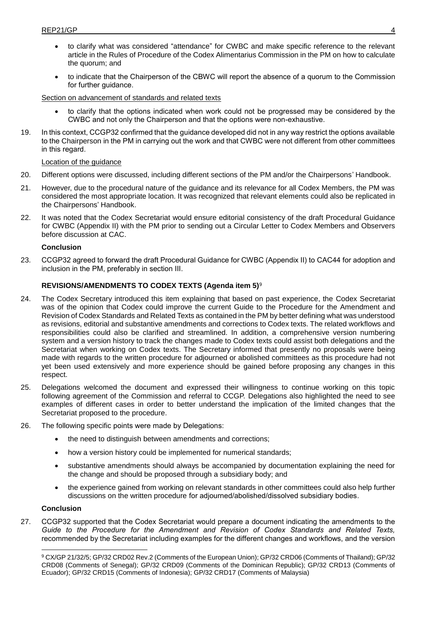- to clarify what was considered "attendance" for CWBC and make specific reference to the relevant article in the Rules of Procedure of the Codex Alimentarius Commission in the PM on how to calculate the quorum; and
- to indicate that the Chairperson of the CBWC will report the absence of a quorum to the Commission for further guidance.

Section on advancement of standards and related texts

- to clarify that the options indicated when work could not be progressed may be considered by the CWBC and not only the Chairperson and that the options were non-exhaustive.
- 19. In this context, CCGP32 confirmed that the guidance developed did not in any way restrict the options available to the Chairperson in the PM in carrying out the work and that CWBC were not different from other committees in this regard.

### Location of the guidance

- 20. Different options were discussed, including different sections of the PM and/or the Chairpersons' Handbook.
- 21. However, due to the procedural nature of the guidance and its relevance for all Codex Members, the PM was considered the most appropriate location. It was recognized that relevant elements could also be replicated in the Chairpersons' Handbook.
- 22. It was noted that the Codex Secretariat would ensure editorial consistency of the draft Procedural Guidance for CWBC (Appendix II) with the PM prior to sending out a Circular Letter to Codex Members and Observers before discussion at CAC.

### **Conclusion**

23. CCGP32 agreed to forward the draft Procedural Guidance for CWBC (Appendix II) to CAC44 for adoption and inclusion in the PM, preferably in section III.

## **REVISIONS/AMENDMENTS TO CODEX TEXTS (Agenda item 5)**<sup>9</sup>

- 24. The Codex Secretary introduced this item explaining that based on past experience, the Codex Secretariat was of the opinion that Codex could improve the current Guide to the Procedure for the Amendment and Revision of Codex Standards and Related Texts as contained in the PM by better defining what was understood as revisions, editorial and substantive amendments and corrections to Codex texts. The related workflows and responsibilities could also be clarified and streamlined. In addition, a comprehensive version numbering system and a version history to track the changes made to Codex texts could assist both delegations and the Secretariat when working on Codex texts. The Secretary informed that presently no proposals were being made with regards to the written procedure for adjourned or abolished committees as this procedure had not yet been used extensively and more experience should be gained before proposing any changes in this respect.
- 25. Delegations welcomed the document and expressed their willingness to continue working on this topic following agreement of the Commission and referral to CCGP. Delegations also highlighted the need to see examples of different cases in order to better understand the implication of the limited changes that the Secretariat proposed to the procedure.
- 26. The following specific points were made by Delegations:
	- the need to distinguish between amendments and corrections;
	- how a version history could be implemented for numerical standards;
	- substantive amendments should always be accompanied by documentation explaining the need for the change and should be proposed through a subsidiary body; and
	- the experience gained from working on relevant standards in other committees could also help further discussions on the written procedure for adjourned/abolished/dissolved subsidiary bodies.

#### **Conclusion**

1

27. CCGP32 supported that the Codex Secretariat would prepare a document indicating the amendments to the *Guide to the Procedure for the Amendment and Revision of Codex Standards and Related Texts,* recommended by the Secretariat including examples for the different changes and workflows, and the version

<sup>9</sup> CX/GP 21/32/5; GP/32 CRD02 Rev.2 (Comments of the European Union); GP/32 CRD06 (Comments of Thailand); GP/32 CRD08 (Comments of Senegal); GP/32 CRD09 (Comments of the Dominican Republic); GP/32 CRD13 (Comments of Ecuador); GP/32 CRD15 (Comments of Indonesia); GP/32 CRD17 (Comments of Malaysia)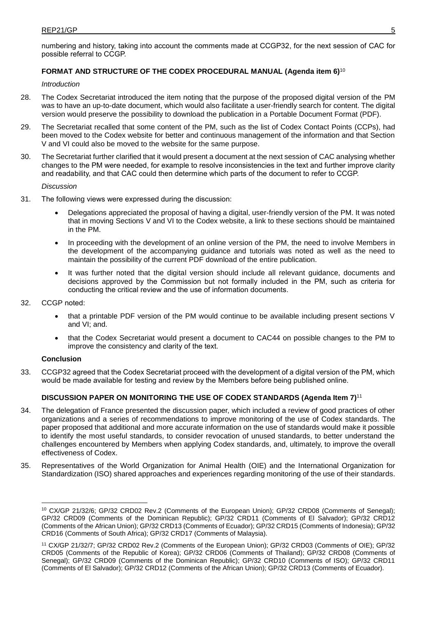numbering and history, taking into account the comments made at CCGP32, for the next session of CAC for possible referral to CCGP.

### **FORMAT AND STRUCTURE OF THE CODEX PROCEDURAL MANUAL (Agenda item 6)**<sup>10</sup>

*Introduction*

- 28. The Codex Secretariat introduced the item noting that the purpose of the proposed digital version of the PM was to have an up-to-date document, which would also facilitate a user-friendly search for content. The digital version would preserve the possibility to download the publication in a Portable Document Format (PDF).
- 29. The Secretariat recalled that some content of the PM, such as the list of Codex Contact Points (CCPs), had been moved to the Codex website for better and continuous management of the information and that Section V and VI could also be moved to the website for the same purpose.
- 30. The Secretariat further clarified that it would present a document at the next session of CAC analysing whether changes to the PM were needed, for example to resolve inconsistencies in the text and further improve clarity and readability, and that CAC could then determine which parts of the document to refer to CCGP.

*Discussion*

- 31. The following views were expressed during the discussion:
	- Delegations appreciated the proposal of having a digital, user-friendly version of the PM. It was noted that in moving Sections V and VI to the Codex website, a link to these sections should be maintained in the PM.
	- In proceeding with the development of an online version of the PM, the need to involve Members in the development of the accompanying guidance and tutorials was noted as well as the need to maintain the possibility of the current PDF download of the entire publication.
	- It was further noted that the digital version should include all relevant guidance, documents and decisions approved by the Commission but not formally included in the PM, such as criteria for conducting the critical review and the use of information documents.
- 32. CCGP noted:
	- that a printable PDF version of the PM would continue to be available including present sections V and VI; and.
	- that the Codex Secretariat would present a document to CAC44 on possible changes to the PM to improve the consistency and clarity of the text.

#### **Conclusion**

33. CCGP32 agreed that the Codex Secretariat proceed with the development of a digital version of the PM, which would be made available for testing and review by the Members before being published online.

#### **DISCUSSION PAPER ON MONITORING THE USE OF CODEX STANDARDS (Agenda Item 7)**<sup>11</sup>

- 34. The delegation of France presented the discussion paper, which included a review of good practices of other organizations and a series of recommendations to improve monitoring of the use of Codex standards. The paper proposed that additional and more accurate information on the use of standards would make it possible to identify the most useful standards, to consider revocation of unused standards, to better understand the challenges encountered by Members when applying Codex standards, and, ultimately, to improve the overall effectiveness of Codex.
- 35. Representatives of the World Organization for Animal Health (OIE) and the International Organization for Standardization (ISO) shared approaches and experiences regarding monitoring of the use of their standards.

<sup>-</sup><sup>10</sup> CX/GP 21/32/6; GP/32 CRD02 Rev.2 (Comments of the European Union); GP/32 CRD08 (Comments of Senegal); GP/32 CRD09 (Comments of the Dominican Republic); GP/32 CRD11 (Comments of El Salvador); GP/32 CRD12 (Comments of the African Union); GP/32 CRD13 (Comments of Ecuador); GP/32 CRD15 (Comments of Indonesia); GP/32 CRD16 (Comments of South Africa); GP/32 CRD17 (Comments of Malaysia).

<sup>11</sup> CX/GP 21/32/7; GP/32 CRD02 Rev.2 (Comments of the European Union); GP/32 CRD03 (Comments of OIE); GP/32 CRD05 (Comments of the Republic of Korea); GP/32 CRD06 (Comments of Thailand); GP/32 CRD08 (Comments of Senegal); GP/32 CRD09 (Comments of the Dominican Republic); GP/32 CRD10 (Comments of ISO); GP/32 CRD11 (Comments of El Salvador); GP/32 CRD12 (Comments of the African Union); GP/32 CRD13 (Comments of Ecuador).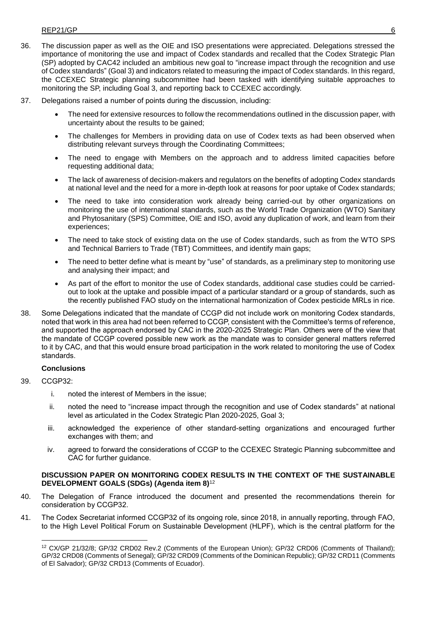- 36. The discussion paper as well as the OIE and ISO presentations were appreciated. Delegations stressed the importance of monitoring the use and impact of Codex standards and recalled that the Codex Strategic Plan (SP) adopted by CAC42 included an ambitious new goal to "increase impact through the recognition and use of Codex standards" (Goal 3) and indicators related to measuring the impact of Codex standards. In this regard, the CCEXEC Strategic planning subcommittee had been tasked with identifying suitable approaches to monitoring the SP, including Goal 3, and reporting back to CCEXEC accordingly.
- 37. Delegations raised a number of points during the discussion, including:
	- The need for extensive resources to follow the recommendations outlined in the discussion paper, with uncertainty about the results to be gained;
	- The challenges for Members in providing data on use of Codex texts as had been observed when distributing relevant surveys through the Coordinating Committees;
	- The need to engage with Members on the approach and to address limited capacities before requesting additional data;
	- The lack of awareness of decision-makers and regulators on the benefits of adopting Codex standards at national level and the need for a more in-depth look at reasons for poor uptake of Codex standards;
	- The need to take into consideration work already being carried-out by other organizations on monitoring the use of international standards, such as the World Trade Organization (WTO) Sanitary and Phytosanitary (SPS) Committee, OIE and ISO, avoid any duplication of work, and learn from their experiences;
	- The need to take stock of existing data on the use of Codex standards, such as from the WTO SPS and Technical Barriers to Trade (TBT) Committees, and identify main gaps;
	- The need to better define what is meant by "use" of standards, as a preliminary step to monitoring use and analysing their impact; and
	- As part of the effort to monitor the use of Codex standards, additional case studies could be carriedout to look at the uptake and possible impact of a particular standard or a group of standards, such as the recently published FAO study on the international harmonization of Codex pesticide MRLs in rice.
- 38. Some Delegations indicated that the mandate of CCGP did not include work on monitoring Codex standards, noted that work in this area had not been referred to CCGP, consistent with the Committee's terms of reference, and supported the approach endorsed by CAC in the 2020-2025 Strategic Plan. Others were of the view that the mandate of CCGP covered possible new work as the mandate was to consider general matters referred to it by CAC, and that this would ensure broad participation in the work related to monitoring the use of Codex standards.

## **Conclusions**

39. CCGP32:

-

- i. noted the interest of Members in the issue;
- ii. noted the need to "increase impact through the recognition and use of Codex standards" at national level as articulated in the Codex Strategic Plan 2020-2025, Goal 3;
- iii. acknowledged the experience of other standard-setting organizations and encouraged further exchanges with them; and
- iv. agreed to forward the considerations of CCGP to the CCEXEC Strategic Planning subcommittee and CAC for further guidance.

#### **DISCUSSION PAPER ON MONITORING CODEX RESULTS IN THE CONTEXT OF THE SUSTAINABLE DEVELOPMENT GOALS (SDGs) (Agenda item 8)**<sup>12</sup>

- 40. The Delegation of France introduced the document and presented the recommendations therein for consideration by CCGP32.
- 41. The Codex Secretariat informed CCGP32 of its ongoing role, since 2018, in annually reporting, through FAO, to the High Level Political Forum on Sustainable Development (HLPF), which is the central platform for the

<sup>12</sup> CX/GP 21/32/8; GP/32 CRD02 Rev.2 (Comments of the European Union); GP/32 CRD06 (Comments of Thailand); GP/32 CRD08 (Comments of Senegal); GP/32 CRD09 (Comments of the Dominican Republic); GP/32 CRD11 (Comments of El Salvador); GP/32 CRD13 (Comments of Ecuador).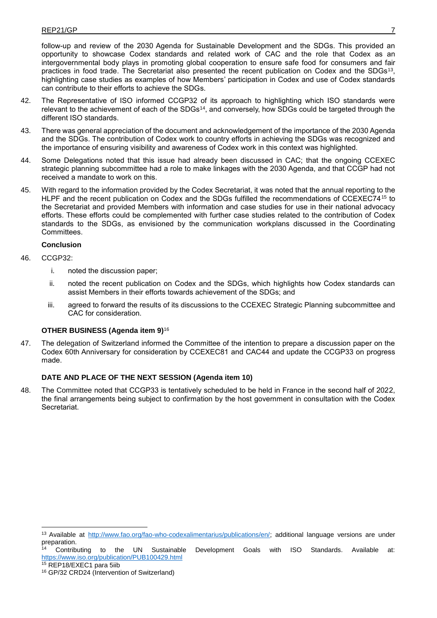follow-up and review of the 2030 Agenda for Sustainable Development and the SDGs. This provided an opportunity to showcase Codex standards and related work of CAC and the role that Codex as an intergovernmental body plays in promoting global cooperation to ensure safe food for consumers and fair practices in food trade. The Secretariat also presented the recent publication on Codex and the SDGs<sup>13</sup> , highlighting case studies as examples of how Members' participation in Codex and use of Codex standards can contribute to their efforts to achieve the SDGs.

- 42. The Representative of ISO informed CCGP32 of its approach to highlighting which ISO standards were relevant to the achievement of each of the SDGs<sup>14</sup>, and conversely, how SDGs could be targeted through the different ISO standards.
- 43. There was general appreciation of the document and acknowledgement of the importance of the 2030 Agenda and the SDGs. The contribution of Codex work to country efforts in achieving the SDGs was recognized and the importance of ensuring visibility and awareness of Codex work in this context was highlighted.
- 44. Some Delegations noted that this issue had already been discussed in CAC; that the ongoing CCEXEC strategic planning subcommittee had a role to make linkages with the 2030 Agenda, and that CCGP had not received a mandate to work on this.
- 45. With regard to the information provided by the Codex Secretariat, it was noted that the annual reporting to the HLPF and the recent publication on Codex and the SDGs fulfilled the recommendations of CCEXEC74<sup>15</sup> to the Secretariat and provided Members with information and case studies for use in their national advocacy efforts. These efforts could be complemented with further case studies related to the contribution of Codex standards to the SDGs, as envisioned by the communication workplans discussed in the Coordinating Committees.

### **Conclusion**

46. CCGP32:

-

- i. noted the discussion paper;
- ii. noted the recent publication on Codex and the SDGs, which highlights how Codex standards can assist Members in their efforts towards achievement of the SDGs; and
- iii. agreed to forward the results of its discussions to the CCEXEC Strategic Planning subcommittee and CAC for consideration.

## **OTHER BUSINESS (Agenda item 9)**<sup>16</sup>

47. The delegation of Switzerland informed the Committee of the intention to prepare a discussion paper on the Codex 60th Anniversary for consideration by CCEXEC81 and CAC44 and update the CCGP33 on progress made.

## **DATE AND PLACE OF THE NEXT SESSION (Agenda item 10)**

48. The Committee noted that CCGP33 is tentatively scheduled to be held in France in the second half of 2022, the final arrangements being subject to confirmation by the host government in consultation with the Codex Secretariat.

to the UN Sustainable Development Goals with ISO Standards. Available at: <https://www.iso.org/publication/PUB100429.html> <sup>15</sup> REP18/EXEC1 para 5iib

<sup>13</sup> Available at [http://www.fao.org/fao-who-codexalimentarius/publications/en/;](http://www.fao.org/fao-who-codexalimentarius/publications/en/) additional language versions are under preparation.

<sup>16</sup> GP/32 CRD24 (Intervention of Switzerland)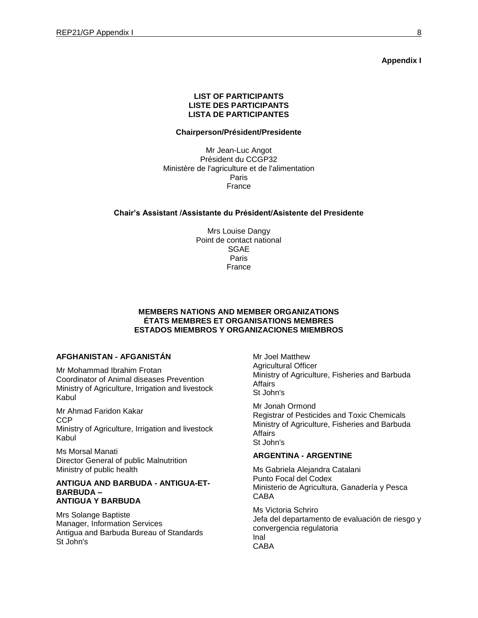**Appendix I**

#### **LIST OF PARTICIPANTS LISTE DES PARTICIPANTS LISTA DE PARTICIPANTES**

#### **Chairperson/Président/Presidente**

Mr Jean-Luc Angot Président du CCGP32 Ministère de l'agriculture et de l'alimentation Paris France

#### **Chair's Assistant /Assistante du Président/Asistente del Presidente**

Mrs Louise Dangy Point de contact national SGAE Paris France

#### **MEMBERS NATIONS AND MEMBER ORGANIZATIONS ÉTATS MEMBRES ET ORGANISATIONS MEMBRES ESTADOS MIEMBROS Y ORGANIZACIONES MIEMBROS**

#### **AFGHANISTAN - AFGANISTÁN**

Mr Mohammad Ibrahim Frotan Coordinator of Animal diseases Prevention Ministry of Agriculture, Irrigation and livestock Kabul

Mr Ahmad Faridon Kakar CCP Ministry of Agriculture, Irrigation and livestock Kabul

Ms Morsal Manati Director General of public Malnutrition Ministry of public health

#### **ANTIGUA AND BARBUDA - ANTIGUA-ET-BARBUDA – ANTIGUA Y BARBUDA**

Mrs Solange Baptiste Manager, Information Services Antigua and Barbuda Bureau of Standards St John's

Mr Joel Matthew Agricultural Officer Ministry of Agriculture, Fisheries and Barbuda Affairs St John's

Mr Jonah Ormond Registrar of Pesticides and Toxic Chemicals Ministry of Agriculture, Fisheries and Barbuda Affairs St John's

#### **ARGENTINA - ARGENTINE**

Ms Gabriela Alejandra Catalani Punto Focal del Codex Ministerio de Agricultura, Ganadería y Pesca CABA

Ms Victoria Schriro Jefa del departamento de evaluación de riesgo y convergencia regulatoria Inal CABA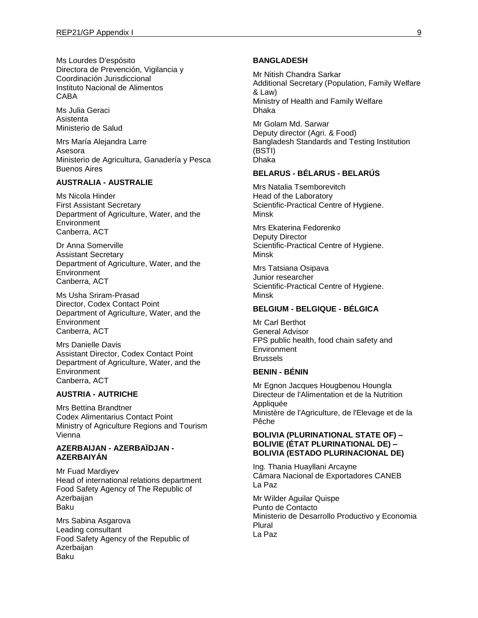Ms Lourdes D'espósito Directora de Prevención, Vigilancia y Coordinación Jurisdiccional Instituto Nacional de Alimentos CABA

Ms Julia Geraci Asistenta Ministerio de Salud

Mrs María Alejandra Larre Asesora Ministerio de Agricultura, Ganadería y Pesca Buenos Aires

#### **AUSTRALIA - AUSTRALIE**

Ms Nicola Hinder First Assistant Secretary Department of Agriculture, Water, and the **Environment** Canberra, ACT

Dr Anna Somerville Assistant Secretary Department of Agriculture, Water, and the **Environment** Canberra, ACT

Ms Usha Sriram-Prasad Director, Codex Contact Point Department of Agriculture, Water, and the Environment Canberra, ACT

Mrs Danielle Davis Assistant Director, Codex Contact Point Department of Agriculture, Water, and the Environment Canberra, ACT

#### **AUSTRIA - AUTRICHE**

Mrs Bettina Brandtner Codex Alimentarius Contact Point Ministry of Agriculture Regions and Tourism Vienna

### **AZERBAIJAN - AZERBAÏDJAN - AZERBAIYÁN**

Mr Fuad Mardiyev Head of international relations department Food Safety Agency of The Republic of Azerbaijan Baku

Mrs Sabina Asgarova Leading consultant Food Safety Agency of the Republic of Azerbaijan Baku

#### **BANGLADESH**

Mr Nitish Chandra Sarkar Additional Secretary (Population, Family Welfare & Law) Ministry of Health and Family Welfare Dhaka

Mr Golam Md. Sarwar Deputy director (Agri. & Food) Bangladesh Standards and Testing Institution (BSTI) Dhaka

## **BELARUS - BÉLARUS - BELARÚS**

Mrs Natalia Tsemborevitch Head of the Laboratory Scientific-Practical Centre of Hygiene. Minsk

Mrs Ekaterina Fedorenko Deputy Director Scientific-Practical Centre of Hygiene. Minsk

Mrs Tatsiana Osipava Junior researcher Scientific-Practical Centre of Hygiene. Minsk

#### **BELGIUM - BELGIQUE - BÉLGICA**

Mr Carl Berthot General Advisor FPS public health, food chain safety and **Environment Brussels** 

## **BENIN - BÉNIN**

Mr Egnon Jacques Hougbenou Houngla Directeur de l'Alimentation et de la Nutrition Appliquée Ministère de l'Agriculture, de l'Elevage et de la Pêche

### **BOLIVIA (PLURINATIONAL STATE OF) – BOLIVIE (ÉTAT PLURINATIONAL DE) – BOLIVIA (ESTADO PLURINACIONAL DE)**

Ing. Thania Huayllani Arcayne Cámara Nacional de Exportadores CANEB La Paz

Mr Wilder Aguilar Quispe Punto de Contacto Ministerio de Desarrollo Productivo y Economia Plural La Paz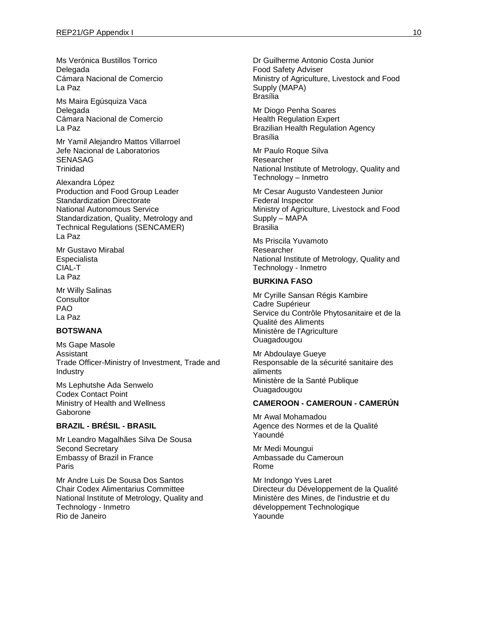Ms Verónica Bustillos Torrico Delegada Cámara Nacional de Comercio La Paz

Ms Maira Egúsquiza Vaca Delegada Cámara Nacional de Comercio La Paz

Mr Yamil Alejandro Mattos Villarroel Jefe Nacional de Laboratorios SENASAG **Trinidad** 

Alexandra López Production and Food Group Leader Standardization Directorate National Autonomous Service Standardization, Quality, Metrology and Technical Regulations (SENCAMER) La Paz

Mr Gustavo Mirabal **Especialista** CIAL-T La Paz

Mr Willy Salinas **Consultor** PAO La Paz

## **BOTSWANA**

Ms Gape Masole Assistant Trade Officer-Ministry of Investment, Trade and Industry

Ms Lephutshe Ada Senwelo Codex Contact Point Ministry of Health and Wellness Gaborone

## **BRAZIL - BRÉSIL - BRASIL**

Mr Leandro Magalhães Silva De Sousa Second Secretary Embassy of Brazil in France Paris

Mr Andre Luis De Sousa Dos Santos Chair Codex Alimentarius Committee National Institute of Metrology, Quality and Technology - Inmetro Rio de Janeiro

Dr Guilherme Antonio Costa Junior Food Safety Adviser Ministry of Agriculture, Livestock and Food Supply (MAPA) Brasília

Mr Diogo Penha Soares Health Regulation Expert Brazilian Health Regulation Agency Brasília

Mr Paulo Roque Silva Researcher National Institute of Metrology, Quality and Technology – Inmetro

Mr Cesar Augusto Vandesteen Junior Federal Inspector Ministry of Agriculture, Livestock and Food Supply – MAPA Brasilia

Ms Priscila Yuvamoto Researcher National Institute of Metrology, Quality and Technology - Inmetro

#### **BURKINA FASO**

Mr Cyrille Sansan Régis Kambire Cadre Supérieur Service du Contrôle Phytosanitaire et de la Qualité des Aliments Ministère de l'Agriculture Ouagadougou

Mr Abdoulaye Gueye Responsable de la sécurité sanitaire des aliments Ministère de la Santé Publique **Ouagadougou** 

### **CAMEROON - CAMEROUN - CAMERÚN**

Mr Awal Mohamadou Agence des Normes et de la Qualité Yaoundé

Mr Medi Moungui Ambassade du Cameroun Rome

Mr Indongo Yves Laret Directeur du Développement de la Qualité Ministère des Mines, de l'industrie et du développement Technologique Yaounde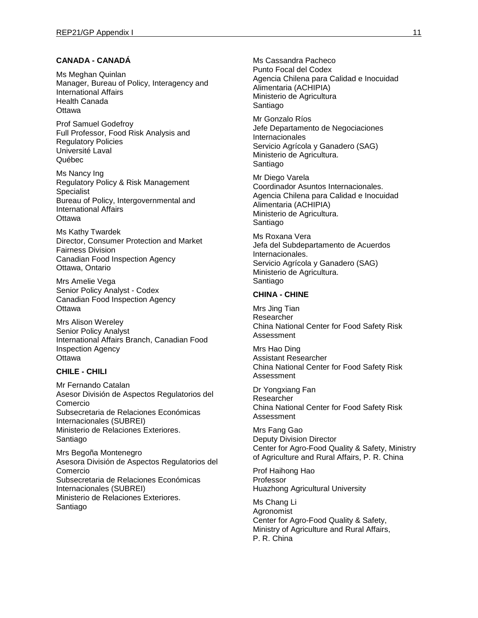### **CANADA - CANADÁ**

Ms Meghan Quinlan Manager, Bureau of Policy, Interagency and International Affairs Health Canada **Ottawa** 

Prof Samuel Godefroy Full Professor, Food Risk Analysis and Regulatory Policies Université Laval Québec

Ms Nancy Ing Regulatory Policy & Risk Management Specialist Bureau of Policy, Intergovernmental and International Affairs **Ottawa** 

Ms Kathy Twardek Director, Consumer Protection and Market Fairness Division Canadian Food Inspection Agency Ottawa, Ontario

Mrs Amelie Vega Senior Policy Analyst - Codex Canadian Food Inspection Agency **Ottawa** 

Mrs Alison Wereley Senior Policy Analyst International Affairs Branch, Canadian Food Inspection Agency **Ottawa** 

### **CHILE - CHILI**

Mr Fernando Catalan Asesor División de Aspectos Regulatorios del Comercio Subsecretaria de Relaciones Económicas Internacionales (SUBREI) Ministerio de Relaciones Exteriores. Santiago

Mrs Begoña Montenegro Asesora División de Aspectos Regulatorios del Comercio Subsecretaria de Relaciones Económicas Internacionales (SUBREI) Ministerio de Relaciones Exteriores. Santiago

Ms Cassandra Pacheco Punto Focal del Codex Agencia Chilena para Calidad e Inocuidad Alimentaria (ACHIPIA) Ministerio de Agricultura Santiago

Mr Gonzalo Ríos Jefe Departamento de Negociaciones Internacionales Servicio Agrícola y Ganadero (SAG) Ministerio de Agricultura. Santiago

Mr Diego Varela Coordinador Asuntos Internacionales. Agencia Chilena para Calidad e Inocuidad Alimentaria (ACHIPIA) Ministerio de Agricultura. Santiago

Ms Roxana Vera Jefa del Subdepartamento de Acuerdos Internacionales. Servicio Agrícola y Ganadero (SAG) Ministerio de Agricultura. Santiago

#### **CHINA - CHINE**

Mrs Jing Tian Researcher China National Center for Food Safety Risk Assessment

Mrs Hao Ding Assistant Researcher China National Center for Food Safety Risk Assessment

Dr Yongxiang Fan Researcher China National Center for Food Safety Risk Assessment

Mrs Fang Gao Deputy Division Director Center for Agro-Food Quality & Safety, Ministry of Agriculture and Rural Affairs, P. R. China

Prof Haihong Hao Professor Huazhong Agricultural University

Ms Chang Li Agronomist Center for Agro-Food Quality & Safety, Ministry of Agriculture and Rural Affairs, P. R. China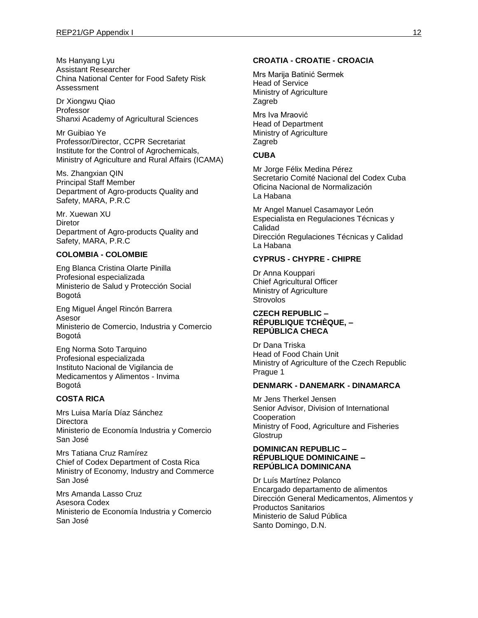Ms Hanyang Lyu Assistant Researcher China National Center for Food Safety Risk Assessment

Dr Xiongwu Qiao Professor Shanxi Academy of Agricultural Sciences

Mr Guibiao Ye Professor/Director, CCPR Secretariat Institute for the Control of Agrochemicals, Ministry of Agriculture and Rural Affairs (ICAMA)

Ms. Zhangxian QIN Principal Staff Member Department of Agro-products Quality and Safety, MARA, P.R.C

Mr. Xuewan XU **Diretor** Department of Agro-products Quality and Safety, MARA, P.R.C

### **COLOMBIA - COLOMBIE**

Eng Blanca Cristina Olarte Pinilla Profesional especializada Ministerio de Salud y Protección Social Bogotá

Eng Miguel Ángel Rincón Barrera Asesor Ministerio de Comercio, Industria y Comercio Bogotá

Eng Norma Soto Tarquino Profesional especializada Instituto Nacional de Vigilancia de Medicamentos y Alimentos - Invima Bogotá

### **COSTA RICA**

Mrs Luisa María Díaz Sánchez **Directora** Ministerio de Economía Industria y Comercio San José

Mrs Tatiana Cruz Ramírez Chief of Codex Department of Costa Rica Ministry of Economy, Industry and Commerce San José

Mrs Amanda Lasso Cruz Asesora Codex Ministerio de Economía Industria y Comercio San José

## **CROATIA - CROATIE - CROACIA**

Mrs Marija Batinić Sermek Head of Service Ministry of Agriculture Zagreb

Mrs Iva Mraović Head of Department Ministry of Agriculture Zagreb

### **CUBA**

Mr Jorge Félix Medina Pérez Secretario Comité Nacional del Codex Cuba Oficina Nacional de Normalización La Habana

Mr Angel Manuel Casamayor León Especialista en Regulaciones Técnicas y Calidad Dirección Regulaciones Técnicas y Calidad La Habana

## **CYPRUS - CHYPRE - CHIPRE**

Dr Anna Kouppari Chief Agricultural Officer Ministry of Agriculture **Strovolos** 

#### **CZECH REPUBLIC – RÉPUBLIQUE TCHÈQUE, – REPÚBLICA CHECA**

Dr Dana Triska Head of Food Chain Unit Ministry of Agriculture of the Czech Republic Prague 1

#### **DENMARK - DANEMARK - DINAMARCA**

Mr Jens Therkel Jensen Senior Advisor, Division of International Cooperation Ministry of Food, Agriculture and Fisheries **Glostrup** 

#### **DOMINICAN REPUBLIC – RÉPUBLIQUE DOMINICAINE – REPÚBLICA DOMINICANA**

Dr Luís Martínez Polanco Encargado departamento de alimentos Dirección General Medicamentos, Alimentos y Productos Sanitarios Ministerio de Salud Pública Santo Domingo, D.N.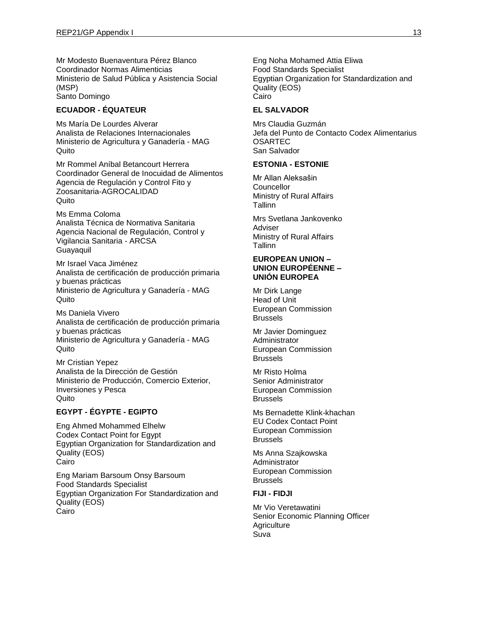Mr Modesto Buenaventura Pérez Blanco Coordinador Normas Alimenticias Ministerio de Salud Pública y Asistencia Social (MSP) Santo Domingo

### **ECUADOR - ÉQUATEUR**

Ms María De Lourdes Alverar Analista de Relaciones Internacionales Ministerio de Agricultura y Ganadería - MAG Quito

Mr Rommel Aníbal Betancourt Herrera Coordinador General de Inocuidad de Alimentos Agencia de Regulación y Control Fito y Zoosanitaria-AGROCALIDAD **Quito** 

Ms Emma Coloma Analista Técnica de Normativa Sanitaria Agencia Nacional de Regulación, Control y Vigilancia Sanitaria - ARCSA Guayaquil

Mr Israel Vaca Jiménez Analista de certificación de producción primaria y buenas prácticas Ministerio de Agricultura y Ganadería - MAG Quito

Ms Daniela Vivero Analista de certificación de producción primaria y buenas prácticas Ministerio de Agricultura y Ganadería - MAG Quito

Mr Cristian Yepez Analista de la Dirección de Gestión Ministerio de Producción, Comercio Exterior, Inversiones y Pesca Quito

## **EGYPT - ÉGYPTE - EGIPTO**

Eng Ahmed Mohammed Elhelw Codex Contact Point for Egypt Egyptian Organization for Standardization and Quality (EOS) Cairo

Eng Mariam Barsoum Onsy Barsoum Food Standards Specialist Egyptian Organization For Standardization and Quality (EOS) Cairo

Eng Noha Mohamed Attia Eliwa Food Standards Specialist Egyptian Organization for Standardization and Quality (EOS) Cairo

#### **EL SALVADOR**

Mrs Claudia Guzmán Jefa del Punto de Contacto Codex Alimentarius OSARTEC San Salvador

### **ESTONIA - ESTONIE**

Mr Allan Aleksašin **Councellor** Ministry of Rural Affairs **Tallinn** 

Mrs Svetlana Jankovenko Adviser Ministry of Rural Affairs **Tallinn** 

#### **EUROPEAN UNION – UNION EUROPÉENNE – UNIÓN EUROPEA**

Mr Dirk Lange Head of Unit European Commission Brussels

Mr Javier Dominguez Administrator European Commission **Brussels** 

Mr Risto Holma Senior Administrator European Commission Brussels

Ms Bernadette Klink-khachan EU Codex Contact Point European Commission **Brussels** 

Ms Anna Szajkowska Administrator European Commission Brussels

## **FIJI - FIDJI**

Mr Vio Veretawatini Senior Economic Planning Officer **Agriculture** Suva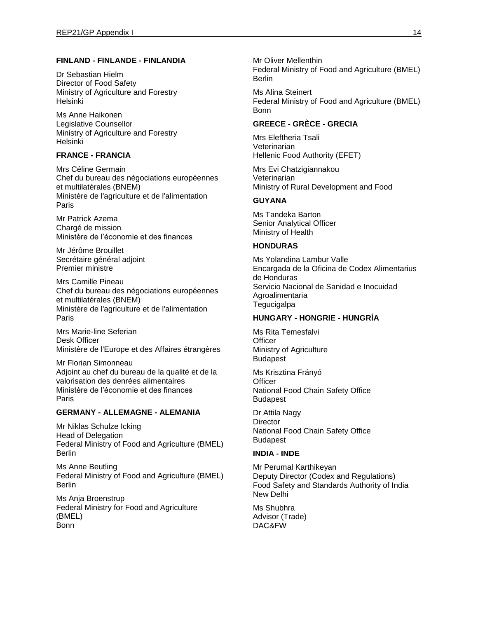### **FINLAND - FINLANDE - FINLANDIA**

Dr Sebastian Hielm Director of Food Safety Ministry of Agriculture and Forestry Helsinki

Ms Anne Haikonen Legislative Counsellor Ministry of Agriculture and Forestry Helsinki

## **FRANCE - FRANCIA**

Mrs Céline Germain Chef du bureau des négociations européennes et multilatérales (BNEM) Ministère de l'agriculture et de l'alimentation Paris

Mr Patrick Azema Chargé de mission Ministère de l'économie et des finances

Mr Jérôme Brouillet Secrétaire général adjoint Premier ministre

Mrs Camille Pineau Chef du bureau des négociations européennes et multilatérales (BNEM) Ministère de l'agriculture et de l'alimentation Paris

Mrs Marie-line Seferian Desk Officer Ministère de l'Europe et des Affaires étrangères

Mr Florian Simonneau Adjoint au chef du bureau de la qualité et de la valorisation des denrées alimentaires Ministère de l'économie et des finances Paris

### **GERMANY - ALLEMAGNE - ALEMANIA**

Mr Niklas Schulze Icking Head of Delegation Federal Ministry of Food and Agriculture (BMEL) Berlin

Ms Anne Beutling Federal Ministry of Food and Agriculture (BMEL) Berlin

Ms Anja Broenstrup Federal Ministry for Food and Agriculture (BMEL) Bonn

Mr Oliver Mellenthin Federal Ministry of Food and Agriculture (BMEL) Berlin

Ms Alina Steinert Federal Ministry of Food and Agriculture (BMEL) Bonn

#### **GREECE - GRÈCE - GRECIA**

Mrs Eleftheria Tsali Veterinarian Hellenic Food Authority (EFET)

Mrs Evi Chatzigiannakou Veterinarian Ministry of Rural Development and Food

#### **GUYANA**

Ms Tandeka Barton Senior Analytical Officer Ministry of Health

### **HONDURAS**

Ms Yolandina Lambur Valle Encargada de la Oficina de Codex Alimentarius de Honduras Servicio Nacional de Sanidad e Inocuidad Agroalimentaria **Tegucigalpa** 

### **HUNGARY - HONGRIE - HUNGRÍA**

Ms Rita Temesfalvi **Officer** Ministry of Agriculture Budapest

Ms Krisztina Frányó **Officer** National Food Chain Safety Office Budapest

Dr Attila Nagy **Director** National Food Chain Safety Office Budapest

#### **INDIA - INDE**

Mr Perumal Karthikeyan Deputy Director (Codex and Regulations) Food Safety and Standards Authority of India New Delhi

Ms Shubhra Advisor (Trade) DAC&FW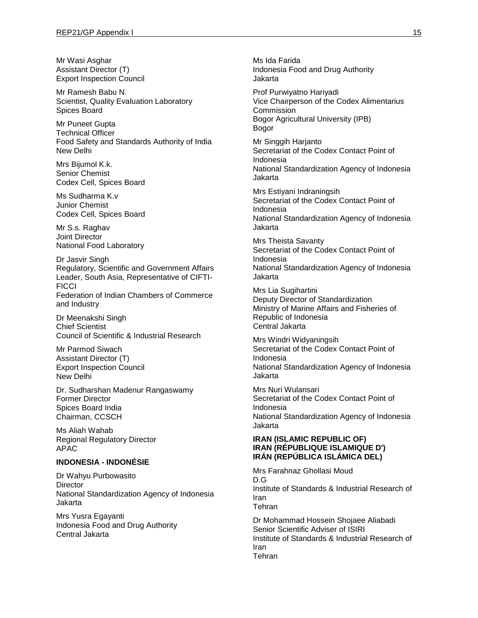Mr Wasi Asghar Assistant Director (T) Export Inspection Council

Mr Ramesh Babu N. Scientist, Quality Evaluation Laboratory Spices Board

Mr Puneet Gupta Technical Officer Food Safety and Standards Authority of India New Delhi

Mrs Bijumol K.k. Senior Chemist Codex Cell, Spices Board

Ms Sudharma K.v Junior Chemist Codex Cell, Spices Board

Mr S.s. Raghav Joint Director National Food Laboratory

Dr Jasvir Singh Regulatory, Scientific and Government Affairs Leader, South Asia, Representative of CIFTI-**FICCI** Federation of Indian Chambers of Commerce and Industry

Dr Meenakshi Singh Chief Scientist Council of Scientific & Industrial Research

Mr Parmod Siwach Assistant Director (T) Export Inspection Council New Delhi

Dr. Sudharshan Madenur Rangaswamy Former Director Spices Board India Chairman, CCSCH

Ms Aliah Wahab Regional Regulatory Director APAC

#### **INDONESIA - INDONÉSIE**

Dr Wahyu Purbowasito **Director** National Standardization Agency of Indonesia Jakarta

Mrs Yusra Egayanti Indonesia Food and Drug Authority Central Jakarta

Ms Ida Farida Indonesia Food and Drug Authority Jakarta Prof Purwiyatno Hariyadi Vice Chairperson of the Codex Alimentarius Commission Bogor Agricultural University (IPB) Bogor Mr Singgih Harjanto Secretariat of the Codex Contact Point of Indonesia National Standardization Agency of Indonesia Jakarta Mrs Estiyani Indraningsih Secretariat of the Codex Contact Point of Indonesia National Standardization Agency of Indonesia Jakarta Mrs Theista Savanty Secretariat of the Codex Contact Point of Indonesia National Standardization Agency of Indonesia Jakarta Mrs Lia Sugihartini Deputy Director of Standardization Ministry of Marine Affairs and Fisheries of Republic of Indonesia Central Jakarta Mrs Windri Widyaningsih Secretariat of the Codex Contact Point of Indonesia National Standardization Agency of Indonesia Jakarta Mrs Nuri Wulansari Secretariat of the Codex Contact Point of Indonesia National Standardization Agency of Indonesia Jakarta

### **IRAN (ISLAMIC REPUBLIC OF) IRAN (RÉPUBLIQUE ISLAMIQUE D') IRÁN (REPÚBLICA ISLÁMICA DEL)**

Mrs Farahnaz Ghollasi Moud D.G Institute of Standards & Industrial Research of Iran **Tehran** 

Dr Mohammad Hossein Shojaee Aliabadi Senior Scientific Adviser of ISIRI Institute of Standards & Industrial Research of Iran Tehran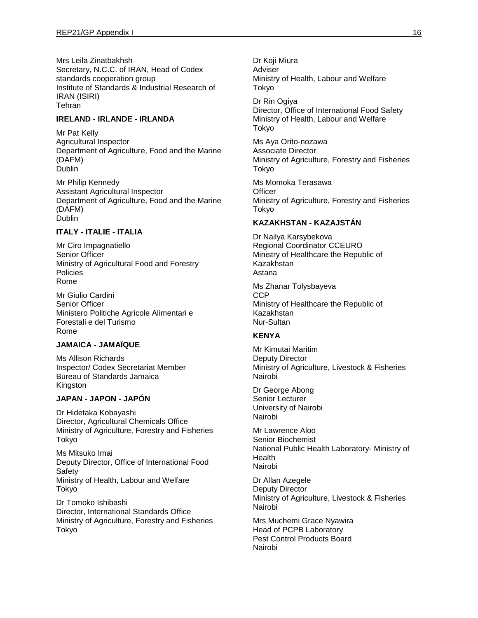Mrs Leila Zinatbakhsh Secretary, N.C.C. of IRAN, Head of Codex standards cooperation group Institute of Standards & Industrial Research of IRAN (ISIRI) Tehran

### **IRELAND - IRLANDE - IRLANDA**

Mr Pat Kelly Agricultural Inspector Department of Agriculture, Food and the Marine (DAFM) **Dublin** 

Mr Philip Kennedy Assistant Agricultural Inspector Department of Agriculture, Food and the Marine (DAFM) Dublin

## **ITALY - ITALIE - ITALIA**

Mr Ciro Impagnatiello Senior Officer Ministry of Agricultural Food and Forestry **Policies** Rome

Mr Giulio Cardini Senior Officer Ministero Politiche Agricole Alimentari e Forestali e del Turismo Rome

## **JAMAICA - JAMAÏQUE**

Ms Allison Richards Inspector/ Codex Secretariat Member Bureau of Standards Jamaica **Kingston** 

### **JAPAN - JAPON - JAPÓN**

Dr Hidetaka Kobayashi Director, Agricultural Chemicals Office Ministry of Agriculture, Forestry and Fisheries Tokyo

Ms Mitsuko Imai Deputy Director, Office of International Food Safety Ministry of Health, Labour and Welfare Tokyo

Dr Tomoko Ishibashi Director, International Standards Office Ministry of Agriculture, Forestry and Fisheries Tokyo

Dr Koji Miura Adviser Ministry of Health, Labour and Welfare Tokyo

Dr Rin Ogiya Director, Office of International Food Safety Ministry of Health, Labour and Welfare Tokyo

Ms Aya Orito-nozawa Associate Director Ministry of Agriculture, Forestry and Fisheries Tokyo

Ms Momoka Terasawa **Officer** Ministry of Agriculture, Forestry and Fisheries Tokyo

## **KAZAKHSTAN - KAZAJSTÁN**

Dr Nailya Karsybekova Regional Coordinator CCEURO Ministry of Healthcare the Republic of Kazakhstan Astana

Ms Zhanar Tolysbayeva **CCP** Ministry of Healthcare the Republic of Kazakhstan Nur-Sultan

### **KENYA**

Mr Kimutai Maritim Deputy Director Ministry of Agriculture, Livestock & Fisheries Nairobi

Dr George Abong Senior Lecturer University of Nairobi Nairobi

Mr Lawrence Aloo Senior Biochemist National Public Health Laboratory- Ministry of Health Nairobi

Dr Allan Azegele Deputy Director Ministry of Agriculture, Livestock & Fisheries Nairobi

Mrs Muchemi Grace Nyawira Head of PCPB Laboratory Pest Control Products Board Nairobi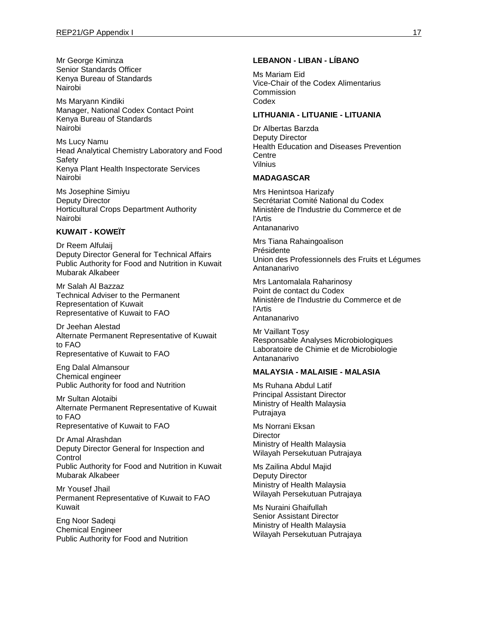Mr George Kiminza Senior Standards Officer Kenya Bureau of Standards Nairobi

Ms Maryann Kindiki Manager, National Codex Contact Point Kenya Bureau of Standards Nairobi

Ms Lucy Namu Head Analytical Chemistry Laboratory and Food Safety Kenya Plant Health Inspectorate Services Nairobi

Ms Josephine Simiyu Deputy Director Horticultural Crops Department Authority Nairobi

### **KUWAIT - KOWEÏT**

Dr Reem Alfulaij Deputy Director General for Technical Affairs Public Authority for Food and Nutrition in Kuwait Mubarak Alkabeer

Mr Salah Al Bazzaz Technical Adviser to the Permanent Representation of Kuwait Representative of Kuwait to FAO

Dr Jeehan Alestad Alternate Permanent Representative of Kuwait to FAO Representative of Kuwait to FAO

Eng Dalal Almansour Chemical engineer Public Authority for food and Nutrition

Mr Sultan Alotaibi Alternate Permanent Representative of Kuwait to FAO Representative of Kuwait to FAO

Dr Amal Alrashdan Deputy Director General for Inspection and Control Public Authority for Food and Nutrition in Kuwait Mubarak Alkabeer

Mr Yousef Jhail Permanent Representative of Kuwait to FAO Kuwait

Eng Noor Sadeqi Chemical Engineer Public Authority for Food and Nutrition

## **LEBANON - LIBAN - LÍBANO**

Ms Mariam Eid Vice-Chair of the Codex Alimentarius **Commission** Codex

#### **LITHUANIA - LITUANIE - LITUANIA**

Dr Albertas Barzda Deputy Director Health Education and Diseases Prevention Centre Vilnius

## **MADAGASCAR**

Mrs Henintsoa Harizafy Secrétariat Comité National du Codex Ministère de l'Industrie du Commerce et de l'Artis Antananarivo

Mrs Tiana Rahaingoalison Présidente Union des Professionnels des Fruits et Légumes Antananarivo

Mrs Lantomalala Raharinosy Point de contact du Codex Ministère de l'Industrie du Commerce et de l'Artis Antananarivo

Mr Vaillant Tosy Responsable Analyses Microbiologiques Laboratoire de Chimie et de Microbiologie Antananarivo

#### **MALAYSIA - MALAISIE - MALASIA**

Ms Ruhana Abdul Latif Principal Assistant Director Ministry of Health Malaysia Putrajaya

Ms Norrani Eksan **Director** Ministry of Health Malaysia Wilayah Persekutuan Putrajaya

Ms Zailina Abdul Majid Deputy Director Ministry of Health Malaysia Wilayah Persekutuan Putrajaya

Ms Nuraini Ghaifullah Senior Assistant Director Ministry of Health Malaysia Wilayah Persekutuan Putrajaya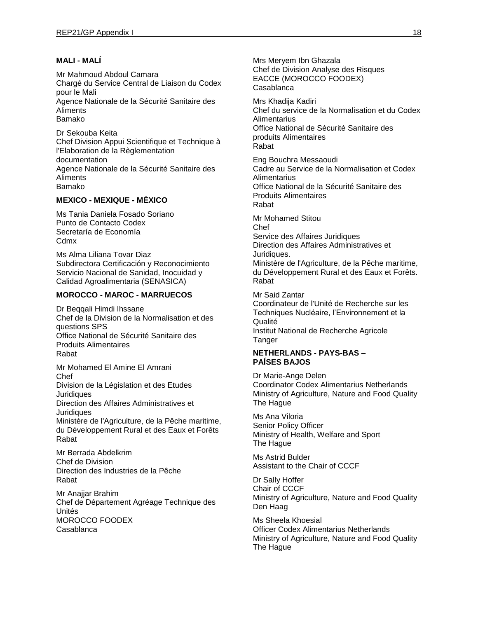## **MALI - MALÍ**

Mr Mahmoud Abdoul Camara Chargé du Service Central de Liaison du Codex pour le Mali Agence Nationale de la Sécurité Sanitaire des **Aliments** Bamako

Dr Sekouba Keita Chef Division Appui Scientifique et Technique à l'Elaboration de la Règlementation documentation Agence Nationale de la Sécurité Sanitaire des Aliments Bamako

## **MEXICO - MEXIQUE - MÉXICO**

Ms Tania Daniela Fosado Soriano Punto de Contacto Codex Secretaría de Economía **Cdmx** 

Ms Alma Liliana Tovar Diaz Subdirectora Certificación y Reconocimiento Servicio Nacional de Sanidad, Inocuidad y Calidad Agroalimentaria (SENASICA)

#### **MOROCCO - MAROC - MARRUECOS**

Dr Beqqali Himdi Ihssane Chef de la Division de la Normalisation et des questions SPS Office National de Sécurité Sanitaire des Produits Alimentaires Rabat Mr Mohamed El Amine El Amrani

Chef Division de la Législation et des Etudes **Juridiques** Direction des Affaires Administratives et **Juridiques** 

Ministère de l'Agriculture, de la Pêche maritime, du Développement Rural et des Eaux et Forêts Rabat

Mr Berrada Abdelkrim Chef de Division Direction des Industries de la Pêche Rabat

Mr Anajjar Brahim Chef de Département Agréage Technique des Unités MOROCCO FOODEX Casablanca

Mrs Meryem Ibn Ghazala Chef de Division Analyse des Risques EACCE (MOROCCO FOODEX) Casablanca

Mrs Khadija Kadiri Chef du service de la Normalisation et du Codex **Alimentarius** Office National de Sécurité Sanitaire des produits Alimentaires Rabat

Eng Bouchra Messaoudi Cadre au Service de la Normalisation et Codex **Alimentarius** Office National de la Sécurité Sanitaire des Produits Alimentaires Rabat

Mr Mohamed Stitou Chef Service des Affaires Juridiques Direction des Affaires Administratives et Juridiaues. Ministère de l'Agriculture, de la Pêche maritime, du Développement Rural et des Eaux et Forêts. Rabat

Mr Said Zantar Coordinateur de l'Unité de Recherche sur les Techniques Nucléaire, l'Environnement et la **Qualité** 

Institut National de Recherche Agricole Tanger

### **NETHERLANDS - PAYS-BAS – PAÍSES BAJOS**

Dr Marie-Ange Delen Coordinator Codex Alimentarius Netherlands Ministry of Agriculture, Nature and Food Quality The Hague

Ms Ana Viloria Senior Policy Officer Ministry of Health, Welfare and Sport The Hague

Ms Astrid Bulder Assistant to the Chair of CCCF

Dr Sally Hoffer Chair of CCCF Ministry of Agriculture, Nature and Food Quality Den Haag

Ms Sheela Khoesial Officer Codex Alimentarius Netherlands Ministry of Agriculture, Nature and Food Quality The Hague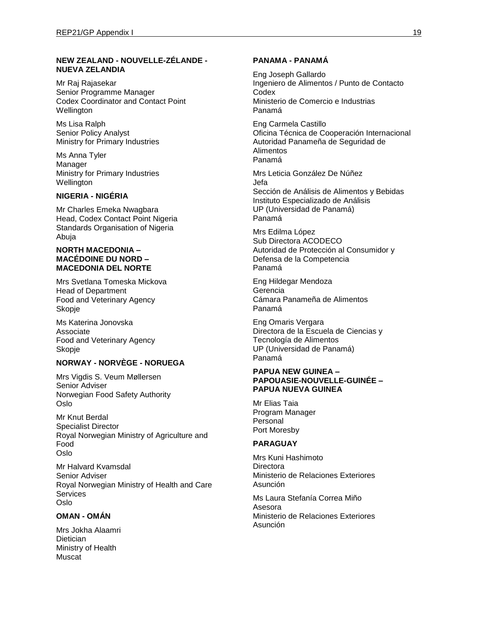### **NEW ZEALAND - NOUVELLE-ZÉLANDE - NUEVA ZELANDIA**

Mr Raj Rajasekar Senior Programme Manager Codex Coordinator and Contact Point **Wellington** 

Ms Lisa Ralph Senior Policy Analyst Ministry for Primary Industries

Ms Anna Tyler Manager Ministry for Primary Industries **Wellington** 

### **NIGERIA - NIGÉRIA**

Mr Charles Emeka Nwagbara Head, Codex Contact Point Nigeria Standards Organisation of Nigeria Abuja

#### **NORTH MACEDONIA – MACÉDOINE DU NORD – MACEDONIA DEL NORTE**

Mrs Svetlana Tomeska Mickova Head of Department Food and Veterinary Agency Skopje

Ms Katerina Jonovska Associate Food and Veterinary Agency Skopje

## **NORWAY - NORVÈGE - NORUEGA**

Mrs Vigdis S. Veum Møllersen Senior Adviser Norwegian Food Safety Authority Oslo

Mr Knut Berdal Specialist Director Royal Norwegian Ministry of Agriculture and Food Oslo

Mr Halvard Kvamsdal Senior Adviser Royal Norwegian Ministry of Health and Care Services Oslo

## **OMAN - OMÁN**

Mrs Jokha Alaamri **Dietician** Ministry of Health Muscat

## **PANAMA - PANAMÁ**

Eng Joseph Gallardo Ingeniero de Alimentos / Punto de Contacto **Codex** Ministerio de Comercio e Industrias Panamá

Eng Carmela Castillo Oficina Técnica de Cooperación Internacional Autoridad Panameña de Seguridad de Alimentos Panamá

Mrs Leticia González De Núñez Jefa Sección de Análisis de Alimentos y Bebidas Instituto Especializado de Análisis UP (Universidad de Panamá) Panamá

Mrs Edilma López Sub Directora ACODECO Autoridad de Protección al Consumidor y Defensa de la Competencia Panamá

Eng Hildegar Mendoza Gerencia Cámara Panameña de Alimentos Panamá

Eng Omaris Vergara Directora de la Escuela de Ciencias y Tecnología de Alimentos UP (Universidad de Panamá) Panamá

#### **PAPUA NEW GUINEA – PAPOUASIE-NOUVELLE-GUINÉE – PAPUA NUEVA GUINEA**

Mr Elias Taia Program Manager Personal Port Moresby

## **PARAGUAY**

Mrs Kuni Hashimoto **Directora** Ministerio de Relaciones Exteriores Asunción

Ms Laura Stefanía Correa Miño Asesora Ministerio de Relaciones Exteriores Asunción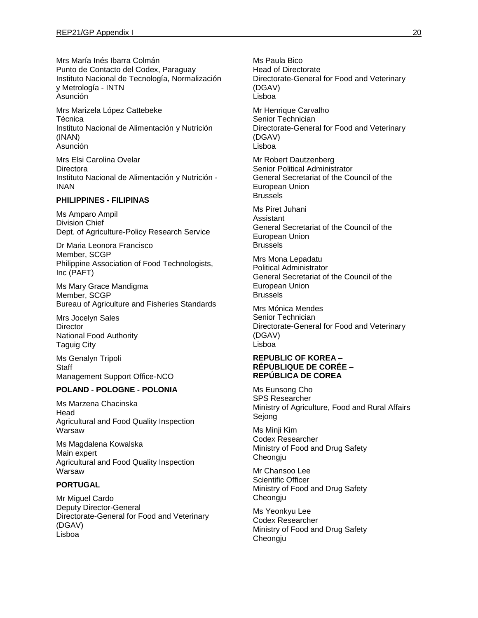Mrs María Inés Ibarra Colmán Punto de Contacto del Codex, Paraguay Instituto Nacional de Tecnología, Normalización y Metrología - INTN Asunción

Mrs Marizela López Cattebeke Técnica Instituto Nacional de Alimentación y Nutrición (INAN) Asunción

Mrs Elsi Carolina Ovelar **Directora** Instituto Nacional de Alimentación y Nutrición - INAN

### **PHILIPPINES - FILIPINAS**

Ms Amparo Ampil Division Chief Dept. of Agriculture-Policy Research Service

Dr Maria Leonora Francisco Member, SCGP Philippine Association of Food Technologists, Inc (PAFT)

Ms Mary Grace Mandigma Member, SCGP Bureau of Agriculture and Fisheries Standards

Mrs Jocelyn Sales **Director** National Food Authority Taguig City

Ms Genalyn Tripoli **Staff** Management Support Office-NCO

### **POLAND - POLOGNE - POLONIA**

Ms Marzena Chacinska Head Agricultural and Food Quality Inspection Warsaw

Ms Magdalena Kowalska Main expert Agricultural and Food Quality Inspection Warsaw

## **PORTUGAL**

Mr Miguel Cardo Deputy Director-General Directorate-General for Food and Veterinary (DGAV) Lisboa

Ms Paula Bico Head of Directorate Directorate-General for Food and Veterinary (DGAV) Lisboa

Mr Henrique Carvalho Senior Technician Directorate-General for Food and Veterinary (DGAV) Lisboa

Mr Robert Dautzenberg Senior Political Administrator General Secretariat of the Council of the European Union Brussels

Ms Piret Juhani Assistant General Secretariat of the Council of the European Union Brussels

Mrs Mona Lepadatu Political Administrator General Secretariat of the Council of the European Union Brussels

Mrs Mónica Mendes Senior Technician Directorate-General for Food and Veterinary (DGAV) Lisboa

#### **REPUBLIC OF KOREA – RÉPUBLIQUE DE CORÉE – REPÚBLICA DE COREA**

Ms Eunsong Cho SPS Researcher Ministry of Agriculture, Food and Rural Affairs Sejong

Ms Minji Kim Codex Researcher Ministry of Food and Drug Safety Cheongju

Mr Chansoo Lee Scientific Officer Ministry of Food and Drug Safety Cheongju

Ms Yeonkyu Lee Codex Researcher Ministry of Food and Drug Safety Cheongju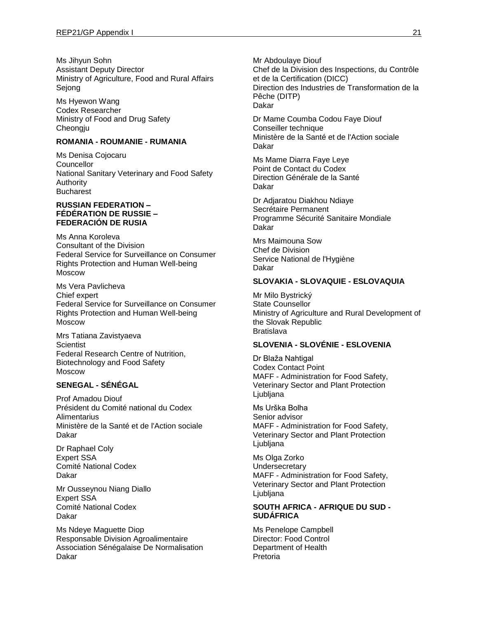Ms Jihyun Sohn Assistant Deputy Director Ministry of Agriculture, Food and Rural Affairs Sejong

Ms Hyewon Wang Codex Researcher Ministry of Food and Drug Safety Cheongju

### **ROMANIA - ROUMANIE - RUMANIA**

Ms Denisa Cojocaru Councellor National Sanitary Veterinary and Food Safety Authority Bucharest

#### **RUSSIAN FEDERATION – FÉDÉRATION DE RUSSIE – FEDERACIÓN DE RUSIA**

Ms Anna Koroleva Consultant of the Division Federal Service for Surveillance on Consumer Rights Protection and Human Well-being Moscow

Ms Vera Pavlicheva Chief expert Federal Service for Surveillance on Consumer Rights Protection and Human Well-being Moscow

Mrs Tatiana Zavistyaeva **Scientist** Federal Research Centre of Nutrition, Biotechnology and Food Safety Moscow

## **SENEGAL - SÉNÉGAL**

Prof Amadou Diouf Président du Comité national du Codex **Alimentarius** Ministère de la Santé et de l'Action sociale Dakar

Dr Raphael Coly Expert SSA Comité National Codex Dakar

Mr Ousseynou Niang Diallo Expert SSA Comité National Codex Dakar

Ms Ndeye Maguette Diop Responsable Division Agroalimentaire Association Sénégalaise De Normalisation Dakar

Mr Abdoulaye Diouf

Chef de la Division des Inspections, du Contrôle et de la Certification (DICC) Direction des Industries de Transformation de la Pêche (DITP) Dakar

Dr Mame Coumba Codou Faye Diouf Conseiller technique Ministère de la Santé et de l'Action sociale Dakar

Ms Mame Diarra Faye Leye Point de Contact du Codex Direction Générale de la Santé Dakar

Dr Adjaratou Diakhou Ndiaye Secrétaire Permanent Programme Sécurité Sanitaire Mondiale Dakar

Mrs Maimouna Sow Chef de Division Service National de l'Hygiène Dakar

### **SLOVAKIA - SLOVAQUIE - ESLOVAQUIA**

Mr Milo Bystrický State Counsellor Ministry of Agriculture and Rural Development of the Slovak Republic Bratislava

### **SLOVENIA - SLOVÉNIE - ESLOVENIA**

Dr Blaža Nahtigal Codex Contact Point MAFF - Administration for Food Safety, Veterinary Sector and Plant Protection Ljubljana

Ms Urška Bolha Senior advisor MAFF - Administration for Food Safety, Veterinary Sector and Plant Protection Ljubljana

Ms Olga Zorko **Undersecretary** MAFF - Administration for Food Safety, Veterinary Sector and Plant Protection Ljubljana

### **SOUTH AFRICA - AFRIQUE DU SUD - SUDÁFRICA**

Ms Penelope Campbell Director: Food Control Department of Health Pretoria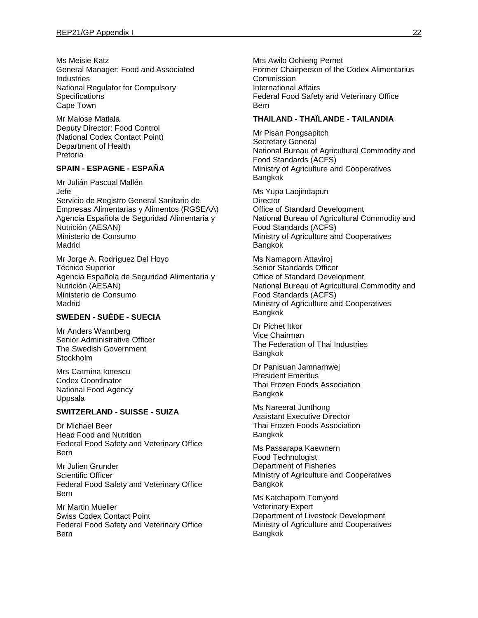Ms Meisie Katz General Manager: Food and Associated Industries National Regulator for Compulsory **Specifications** Cape Town

Mr Malose Matlala Deputy Director: Food Control (National Codex Contact Point) Department of Health Pretoria

### **SPAIN - ESPAGNE - ESPAÑA**

Mr Julián Pascual Mallén Jefe Servicio de Registro General Sanitario de Empresas Alimentarias y Alimentos (RGSEAA) Agencia Española de Seguridad Alimentaria y Nutrición (AESAN) Ministerio de Consumo Madrid

Mr Jorge A. Rodríguez Del Hoyo Técnico Superior Agencia Española de Seguridad Alimentaria y Nutrición (AESAN) Ministerio de Consumo Madrid

### **SWEDEN - SUÈDE - SUECIA**

Mr Anders Wannberg Senior Administrative Officer The Swedish Government **Stockholm** 

Mrs Carmina Ionescu Codex Coordinator National Food Agency Uppsala

#### **SWITZERLAND - SUISSE - SUIZA**

Dr Michael Beer Head Food and Nutrition Federal Food Safety and Veterinary Office Bern

Mr Julien Grunder Scientific Officer Federal Food Safety and Veterinary Office Bern

Mr Martin Mueller Swiss Codex Contact Point Federal Food Safety and Veterinary Office Bern

Mrs Awilo Ochieng Pernet Former Chairperson of the Codex Alimentarius Commission International Affairs Federal Food Safety and Veterinary Office Bern

### **THAILAND - THAÏLANDE - TAILANDIA**

Mr Pisan Pongsapitch Secretary General National Bureau of Agricultural Commodity and Food Standards (ACFS) Ministry of Agriculture and Cooperatives Bangkok

Ms Yupa Laojindapun **Director** Office of Standard Development National Bureau of Agricultural Commodity and Food Standards (ACFS) Ministry of Agriculture and Cooperatives Bangkok

Ms Namaporn Attaviroj Senior Standards Officer Office of Standard Development National Bureau of Agricultural Commodity and Food Standards (ACFS) Ministry of Agriculture and Cooperatives Bangkok

Dr Pichet Itkor Vice Chairman The Federation of Thai Industries **Bangkok** 

Dr Panisuan Jamnarnwej President Emeritus Thai Frozen Foods Association Bangkok

Ms Nareerat Junthong Assistant Executive Director Thai Frozen Foods Association Bangkok

Ms Passarapa Kaewnern Food Technologist Department of Fisheries Ministry of Agriculture and Cooperatives Bangkok

Ms Katchaporn Temyord Veterinary Expert Department of Livestock Development Ministry of Agriculture and Cooperatives Bangkok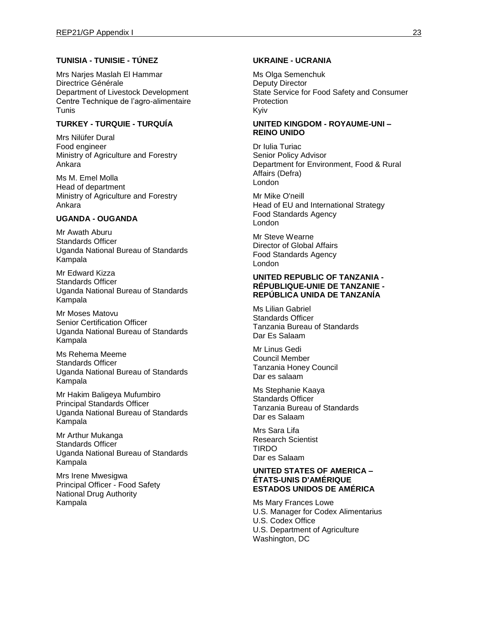### **TUNISIA - TUNISIE - TÚNEZ**

Mrs Narjes Maslah El Hammar Directrice Générale Department of Livestock Development Centre Technique de l'agro-alimentaire Tunis

## **TURKEY - TURQUIE - TURQUÍA**

Mrs Nilüfer Dural Food engineer Ministry of Agriculture and Forestry Ankara

Ms M. Emel Molla Head of department Ministry of Agriculture and Forestry Ankara

### **UGANDA - OUGANDA**

Mr Awath Aburu Standards Officer Uganda National Bureau of Standards Kampala

Mr Edward Kizza Standards Officer Uganda National Bureau of Standards Kampala

Mr Moses Matovu Senior Certification Officer Uganda National Bureau of Standards Kampala

Ms Rehema Meeme Standards Officer Uganda National Bureau of Standards Kampala

Mr Hakim Baligeya Mufumbiro Principal Standards Officer Uganda National Bureau of Standards Kampala

Mr Arthur Mukanga Standards Officer Uganda National Bureau of Standards Kampala

Mrs Irene Mwesigwa Principal Officer - Food Safety National Drug Authority Kampala

### **UKRAINE - UCRANIA**

Ms Olga Semenchuk Deputy Director State Service for Food Safety and Consumer **Protection** Kyiv

#### **UNITED KINGDOM - ROYAUME-UNI – REINO UNIDO**

Dr Iulia Turiac Senior Policy Advisor Department for Environment, Food & Rural Affairs (Defra) London

Mr Mike O'neill Head of EU and International Strategy Food Standards Agency London

Mr Steve Wearne Director of Global Affairs Food Standards Agency London

#### **UNITED REPUBLIC OF TANZANIA - RÉPUBLIQUE-UNIE DE TANZANIE - REPÚBLICA UNIDA DE TANZANÍA**

Ms Lilian Gabriel Standards Officer Tanzania Bureau of Standards Dar Es Salaam

Mr Linus Gedi Council Member Tanzania Honey Council Dar es salaam

Ms Stephanie Kaaya Standards Officer Tanzania Bureau of Standards Dar es Salaam

Mrs Sara Lifa Research Scientist TIRDO Dar es Salaam

#### **UNITED STATES OF AMERICA – ÉTATS-UNIS D'AMÉRIQUE ESTADOS UNIDOS DE AMÉRICA**

Ms Mary Frances Lowe U.S. Manager for Codex Alimentarius U.S. Codex Office U.S. Department of Agriculture Washington, DC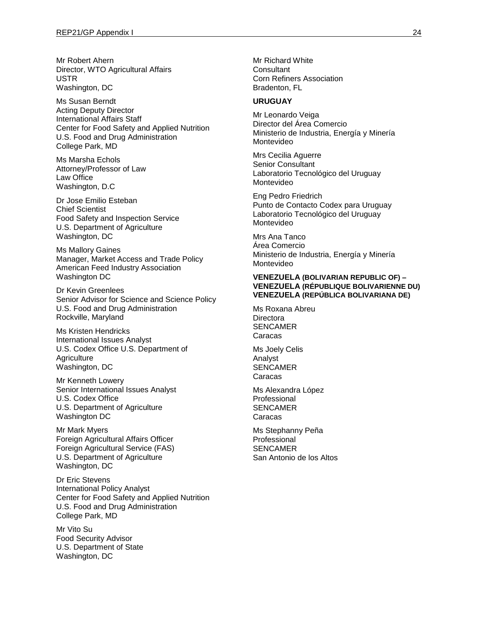Mr Robert Ahern Director, WTO Agricultural Affairs USTR Washington, DC

Ms Susan Berndt Acting Deputy Director International Affairs Staff Center for Food Safety and Applied Nutrition U.S. Food and Drug Administration College Park, MD

Ms Marsha Echols Attorney/Professor of Law Law Office Washington, D.C

Dr Jose Emilio Esteban Chief Scientist Food Safety and Inspection Service U.S. Department of Agriculture Washington, DC

Ms Mallory Gaines Manager, Market Access and Trade Policy American Feed Industry Association Washington DC

Dr Kevin Greenlees Senior Advisor for Science and Science Policy U.S. Food and Drug Administration Rockville, Maryland

Ms Kristen Hendricks International Issues Analyst U.S. Codex Office U.S. Department of **Agriculture** Washington, DC

Mr Kenneth Lowery Senior International Issues Analyst U.S. Codex Office U.S. Department of Agriculture Washington DC

Mr Mark Myers Foreign Agricultural Affairs Officer Foreign Agricultural Service (FAS) U.S. Department of Agriculture Washington, DC

Dr Eric Stevens International Policy Analyst Center for Food Safety and Applied Nutrition U.S. Food and Drug Administration College Park, MD

Mr Vito Su Food Security Advisor U.S. Department of State Washington, DC

Mr Richard White **Consultant** Corn Refiners Association Bradenton, FL

#### **URUGUAY**

Mr Leonardo Veiga Director del Área Comercio Ministerio de Industria, Energía y Minería Montevideo

Mrs Cecilia Aguerre Senior Consultant Laboratorio Tecnológico del Uruguay Montevideo

Eng Pedro Friedrich Punto de Contacto Codex para Uruguay Laboratorio Tecnológico del Uruguay Montevideo

Mrs Ana Tanco Área Comercio Ministerio de Industria, Energía y Minería Montevideo

#### **VENEZUELA (BOLIVARIAN REPUBLIC OF) – VENEZUELA (RÉPUBLIQUE BOLIVARIENNE DU) VENEZUELA (REPÚBLICA BOLIVARIANA DE)**

Ms Roxana Abreu **Directora** SENCAMER Caracas

Ms Joely Celis Analyst SENCAMER Caracas

Ms Alexandra López Professional SENCAMER Caracas

Ms Stephanny Peña Professional SENCAMER San Antonio de los Altos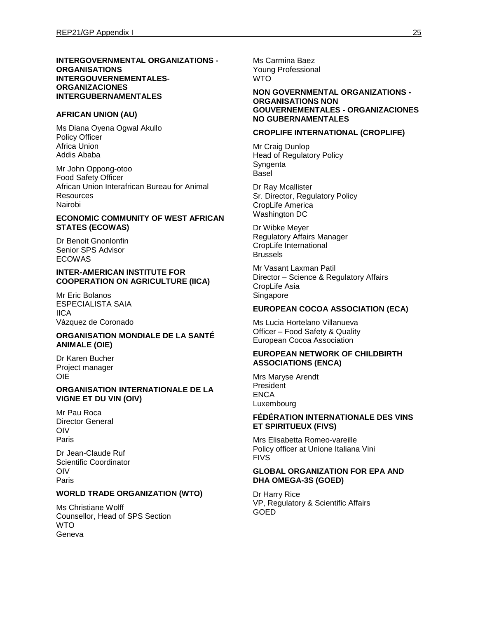#### **INTERGOVERNMENTAL ORGANIZATIONS - ORGANISATIONS INTERGOUVERNEMENTALES-ORGANIZACIONES INTERGUBERNAMENTALES**

#### **AFRICAN UNION (AU)**

Ms Diana Oyena Ogwal Akullo Policy Officer Africa Union Addis Ababa

Mr John Oppong-otoo Food Safety Officer African Union Interafrican Bureau for Animal Resources Nairobi

### **ECONOMIC COMMUNITY OF WEST AFRICAN STATES (ECOWAS)**

Dr Benoit Gnonlonfin Senior SPS Advisor ECOWAS

#### **INTER-AMERICAN INSTITUTE FOR COOPERATION ON AGRICULTURE (IICA)**

Mr Eric Bolanos ESPECIALISTA SAIA IICA Vázquez de Coronado

#### **ORGANISATION MONDIALE DE LA SANTÉ ANIMALE (OIE)**

Dr Karen Bucher Project manager OIE

#### **ORGANISATION INTERNATIONALE DE LA VIGNE ET DU VIN (OIV)**

Mr Pau Roca Director General OIV Paris

Dr Jean-Claude Ruf Scientific Coordinator OIV Paris

### **WORLD TRADE ORGANIZATION (WTO)**

Ms Christiane Wolff Counsellor, Head of SPS Section WTO Geneva

Ms Carmina Baez Young Professional WTO

#### **NON GOVERNMENTAL ORGANIZATIONS - ORGANISATIONS NON GOUVERNEMENTALES - ORGANIZACIONES NO GUBERNAMENTALES**

#### **CROPLIFE INTERNATIONAL (CROPLIFE)**

Mr Craig Dunlop Head of Regulatory Policy **Syngenta** Basel

Dr Ray Mcallister Sr. Director, Regulatory Policy CropLife America Washington DC

Dr Wibke Meyer Regulatory Affairs Manager CropLife International **Brussels** 

Mr Vasant Laxman Patil Director – Science & Regulatory Affairs CropLife Asia Singapore

## **EUROPEAN COCOA ASSOCIATION (ECA)**

Ms Lucia Hortelano Villanueva Officer – Food Safety & Quality European Cocoa Association

#### **EUROPEAN NETWORK OF CHILDBIRTH ASSOCIATIONS (ENCA)**

Mrs Maryse Arendt President **ENCA** Luxembourg

#### **FÉDÉRATION INTERNATIONALE DES VINS ET SPIRITUEUX (FIVS)**

Mrs Elisabetta Romeo-vareille Policy officer at Unione Italiana Vini FIVS

#### **GLOBAL ORGANIZATION FOR EPA AND DHA OMEGA-3S (GOED)**

Dr Harry Rice VP, Regulatory & Scientific Affairs GOED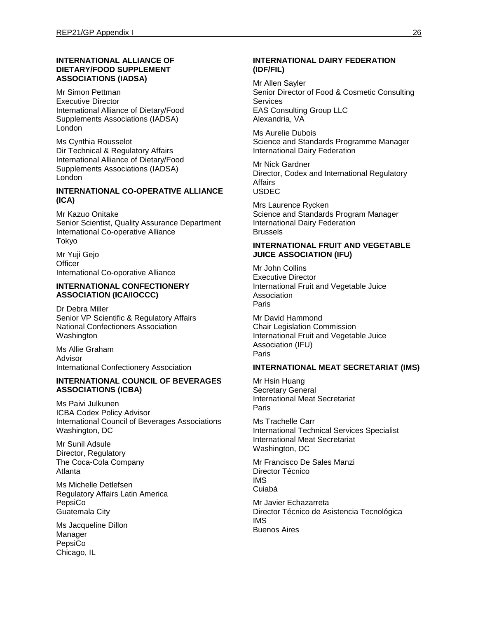### **INTERNATIONAL ALLIANCE OF DIETARY/FOOD SUPPLEMENT ASSOCIATIONS (IADSA)**

Mr Simon Pettman Executive Director International Alliance of Dietary/Food Supplements Associations (IADSA) London

Ms Cynthia Rousselot Dir Technical & Regulatory Affairs International Alliance of Dietary/Food Supplements Associations (IADSA) London

#### **INTERNATIONAL CO-OPERATIVE ALLIANCE (ICA)**

Mr Kazuo Onitake Senior Scientist, Quality Assurance Department International Co-operative Alliance Tokyo

Mr Yuji Gejo **Officer** International Co-oporative Alliance

#### **INTERNATIONAL CONFECTIONERY ASSOCIATION (ICA/IOCCC)**

Dr Debra Miller Senior VP Scientific & Regulatory Affairs National Confectioners Association **Washington** 

Ms Allie Graham Advisor International Confectionery Association

### **INTERNATIONAL COUNCIL OF BEVERAGES ASSOCIATIONS (ICBA)**

Ms Paivi Julkunen ICBA Codex Policy Advisor International Council of Beverages Associations Washington, DC

Mr Sunil Adsule Director, Regulatory The Coca-Cola Company Atlanta

Ms Michelle Detlefsen Regulatory Affairs Latin America PepsiCo Guatemala City

Ms Jacqueline Dillon Manager PepsiCo Chicago, IL

### **INTERNATIONAL DAIRY FEDERATION (IDF/FIL)**

Mr Allen Sayler Senior Director of Food & Cosmetic Consulting **Services** EAS Consulting Group LLC Alexandria, VA

Ms Aurelie Dubois Science and Standards Programme Manager International Dairy Federation

Mr Nick Gardner Director, Codex and International Regulatory **Affairs** USDEC

Mrs Laurence Rycken Science and Standards Program Manager International Dairy Federation Brussels

#### **INTERNATIONAL FRUIT AND VEGETABLE JUICE ASSOCIATION (IFU)**

Mr John Collins Executive Director International Fruit and Vegetable Juice Association Paris

Mr David Hammond Chair Legislation Commission International Fruit and Vegetable Juice Association (IFU) Paris

#### **INTERNATIONAL MEAT SECRETARIAT (IMS)**

Mr Hsin Huang Secretary General International Meat Secretariat Paris

Ms Trachelle Carr International Technical Services Specialist International Meat Secretariat Washington, DC

Mr Francisco De Sales Manzi Director Técnico IMS Cuiabá

Mr Javier Echazarreta Director Técnico de Asistencia Tecnológica IMS Buenos Aires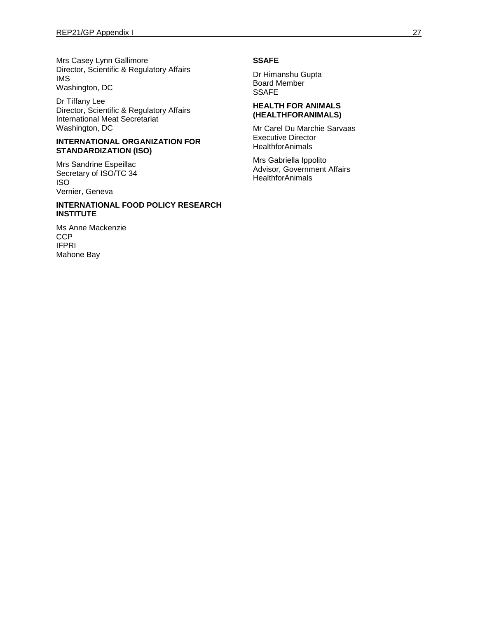Mrs Casey Lynn Gallimore Director, Scientific & Regulatory Affairs IMS Washington, DC

Dr Tiffany Lee Director, Scientific & Regulatory Affairs International Meat Secretariat Washington, DC

#### **INTERNATIONAL ORGANIZATION FOR STANDARDIZATION (ISO)**

Mrs Sandrine Espeillac Secretary of ISO/TC 34 ISO Vernier, Geneva

#### **INTERNATIONAL FOOD POLICY RESEARCH INSTITUTE**

Ms Anne Mackenzie **CCP** IFPRI Mahone Bay

### **SSAFE**

Dr Himanshu Gupta Board Member **SSAFE** 

#### **HEALTH FOR ANIMALS (HEALTHFORANIMALS)**

Mr Carel Du Marchie Sarvaas Executive Director **HealthforAnimals** 

Mrs Gabriella Ippolito Advisor, Government Affairs **HealthforAnimals**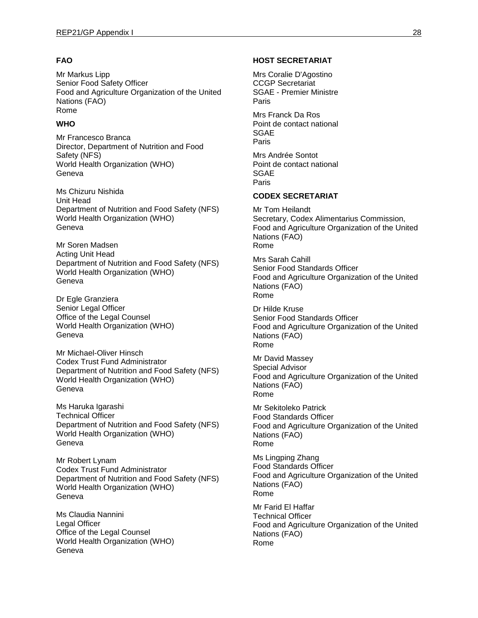## **FAO**

Mr Markus Lipp Senior Food Safety Officer Food and Agriculture Organization of the United Nations (FAO) Rome

## **WHO**

Mr Francesco Branca Director, Department of Nutrition and Food Safety (NFS) World Health Organization (WHO) Geneva

Ms Chizuru Nishida Unit Head Department of Nutrition and Food Safety (NFS) World Health Organization (WHO) Geneva

Mr Soren Madsen Acting Unit Head Department of Nutrition and Food Safety (NFS) World Health Organization (WHO) Geneva

Dr Egle Granziera Senior Legal Officer Office of the Legal Counsel World Health Organization (WHO) Geneva

Mr Michael-Oliver Hinsch Codex Trust Fund Administrator Department of Nutrition and Food Safety (NFS) World Health Organization (WHO) Geneva

Ms Haruka Igarashi Technical Officer Department of Nutrition and Food Safety (NFS) World Health Organization (WHO) Geneva

Mr Robert Lynam Codex Trust Fund Administrator Department of Nutrition and Food Safety (NFS) World Health Organization (WHO) Geneva

Ms Claudia Nannini Legal Officer Office of the Legal Counsel World Health Organization (WHO) Geneva

## **HOST SECRETARIAT**

Mrs Coralie D'Agostino CCGP Secretariat SGAE - Premier Ministre Paris Mrs Franck Da Ros

Point de contact national SGAE Paris

Mrs Andrée Sontot Point de contact national SGAE Paris

## **CODEX SECRETARIAT**

Mr Tom Heilandt Secretary, Codex Alimentarius Commission, Food and Agriculture Organization of the United Nations (FAO) Rome

Mrs Sarah Cahill Senior Food Standards Officer Food and Agriculture Organization of the United Nations (FAO) Rome

Dr Hilde Kruse Senior Food Standards Officer Food and Agriculture Organization of the United Nations (FAO) Rome

Mr David Massey Special Advisor Food and Agriculture Organization of the United Nations (FAO) Rome

Mr Sekitoleko Patrick Food Standards Officer Food and Agriculture Organization of the United Nations (FAO) Rome

Ms Lingping Zhang Food Standards Officer Food and Agriculture Organization of the United Nations (FAO) Rome

Mr Farid El Haffar Technical Officer Food and Agriculture Organization of the United Nations (FAO) Rome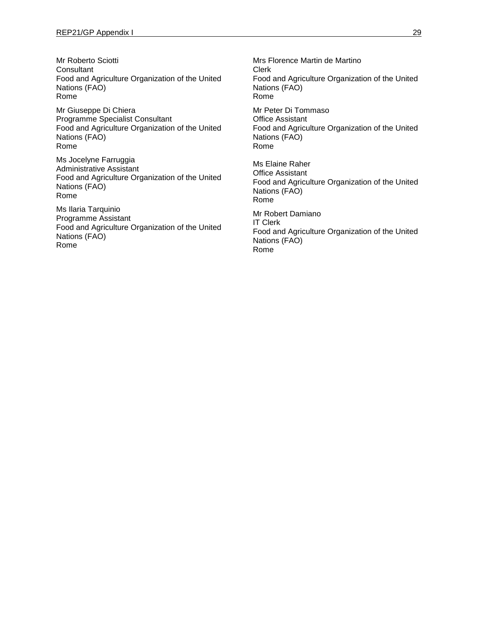Mr Roberto Sciotti **Consultant** Food and Agriculture Organization of the United Nations (FAO) Rome

Mr Giuseppe Di Chiera Programme Specialist Consultant Food and Agriculture Organization of the United Nations (FAO) Rome

Ms Jocelyne Farruggia Administrative Assistant Food and Agriculture Organization of the United Nations (FAO) Rome

Ms Ilaria Tarquinio Programme Assistant Food and Agriculture Organization of the United Nations (FAO) Rome

Mrs Florence Martin de Martino Clerk Food and Agriculture Organization of the United Nations (FAO) Rome Mr Peter Di Tommaso Office Assistant Food and Agriculture Organization of the United Nations (FAO) Rome Ms Elaine Raher Office Assistant Food and Agriculture Organization of the United Nations (FAO) Rome Mr Robert Damiano

IT Clerk Food and Agriculture Organization of the United Nations (FAO) Rome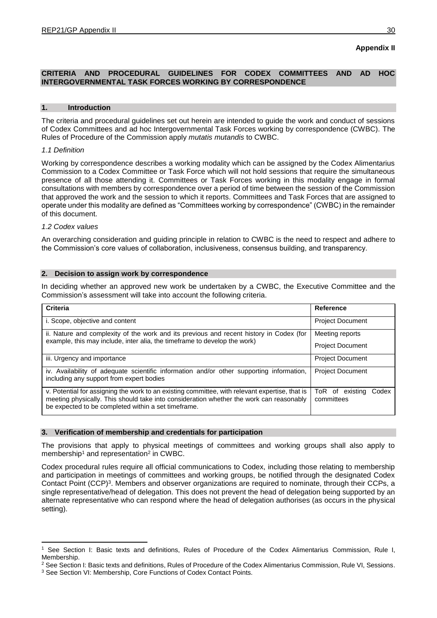## **Appendix II**

## **CRITERIA AND PROCEDURAL GUIDELINES FOR CODEX COMMITTEES AND AD HOC INTERGOVERNMENTAL TASK FORCES WORKING BY CORRESPONDENCE**

#### **1. Introduction**

The criteria and procedural guidelines set out herein are intended to guide the work and conduct of sessions of Codex Committees and ad hoc Intergovernmental Task Forces working by correspondence (CWBC). The Rules of Procedure of the Commission apply *mutatis mutandis* to CWBC.

#### *1.1 Definition*

Working by correspondence describes a working modality which can be assigned by the Codex Alimentarius Commission to a Codex Committee or Task Force which will not hold sessions that require the simultaneous presence of all those attending it. Committees or Task Forces working in this modality engage in formal consultations with members by correspondence over a period of time between the session of the Commission that approved the work and the session to which it reports. Committees and Task Forces that are assigned to operate under this modality are defined as "Committees working by correspondence" (CWBC) in the remainder of this document.

### *1.2 Codex values*

An overarching consideration and guiding principle in relation to CWBC is the need to respect and adhere to the Commission's core values of collaboration, inclusiveness, consensus building, and transparency.

### **2. Decision to assign work by correspondence**

In deciding whether an approved new work be undertaken by a CWBC, the Executive Committee and the Commission's assessment will take into account the following criteria.

| <b>Criteria</b>                                                                                                                                                                                                                                  | <b>Reference</b>                       |
|--------------------------------------------------------------------------------------------------------------------------------------------------------------------------------------------------------------------------------------------------|----------------------------------------|
| i. Scope, objective and content                                                                                                                                                                                                                  | <b>Project Document</b>                |
| ii. Nature and complexity of the work and its previous and recent history in Codex (for<br>example, this may include, inter alia, the timeframe to develop the work)                                                                             | Meeting reports                        |
|                                                                                                                                                                                                                                                  | <b>Project Document</b>                |
| iii. Urgency and importance                                                                                                                                                                                                                      | <b>Project Document</b>                |
| iv. Availability of adequate scientific information and/or other supporting information,<br>including any support from expert bodies                                                                                                             | <b>Project Document</b>                |
| v. Potential for assigning the work to an existing committee, with relevant expertise, that is<br>meeting physically. This should take into consideration whether the work can reasonably<br>be expected to be completed within a set timeframe. | ToR of existing<br>Codex<br>committees |

#### **3. Verification of membership and credentials for participation**

The provisions that apply to physical meetings of committees and working groups shall also apply to membership<sup>1</sup> and representation<sup>2</sup> in CWBC.

Codex procedural rules require all official communications to Codex, including those relating to membership and participation in meetings of committees and working groups, be notified through the designated Codex Contact Point (CCP)<sup>3</sup>. Members and observer organizations are required to nominate, through their CCPs, a single representative/head of delegation. This does not prevent the head of delegation being supported by an alternate representative who can respond where the head of delegation authorises (as occurs in the physical setting).

<sup>1</sup> <sup>1</sup> See Section I: Basic texts and definitions, Rules of Procedure of the Codex Alimentarius Commission, Rule I, Membership.

<sup>&</sup>lt;sup>2</sup> See Section I: Basic texts and definitions, Rules of Procedure of the Codex Alimentarius Commission, Rule VI, Sessions. <sup>3</sup> See Section VI: Membership, Core Functions of Codex Contact Points.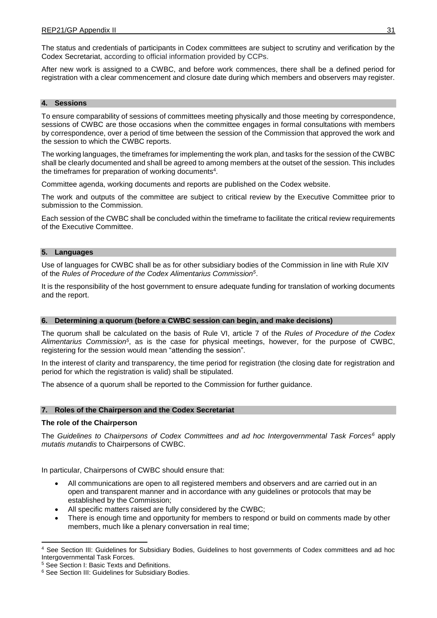The status and credentials of participants in Codex committees are subject to scrutiny and verification by the Codex Secretariat, according to official information provided by CCPs.

After new work is assigned to a CWBC, and before work commences, there shall be a defined period for registration with a clear commencement and closure date during which members and observers may register.

#### **4. Sessions**

To ensure comparability of sessions of committees meeting physically and those meeting by correspondence, sessions of CWBC are those occasions when the committee engages in formal consultations with members by correspondence, over a period of time between the session of the Commission that approved the work and the session to which the CWBC reports.

The working languages, the timeframes for implementing the work plan, and tasks for the session of the CWBC shall be clearly documented and shall be agreed to among members at the outset of the session. This includes the timeframes for preparation of working documents<sup>4</sup>.

Committee agenda, working documents and reports are published on the Codex website.

The work and outputs of the committee are subject to critical review by the Executive Committee prior to submission to the Commission.

Each session of the CWBC shall be concluded within the timeframe to facilitate the critical review requirements of the Executive Committee.

#### **5. Languages**

Use of languages for CWBC shall be as for other subsidiary bodies of the Commission in line with Rule XIV of the *Rules of Procedure of the Codex Alimentarius Commission[5](#page-34-0)* .

It is the responsibility of the host government to ensure adequate funding for translation of working documents and the report.

#### **6. Determining a quorum (before a CWBC session can begin, and make decisions)**

<span id="page-34-0"></span>The quorum shall be calculated on the basis of Rule VI, article 7 of the *Rules of Procedure of the Codex Alimentarius Commission<sup>5</sup>* , as is the case for physical meetings, however, for the purpose of CWBC, registering for the session would mean "attending the session".

In the interest of clarity and transparency, the time period for registration (the closing date for registration and period for which the registration is valid) shall be stipulated.

The absence of a quorum shall be reported to the Commission for further guidance.

#### **7. Roles of the Chairperson and the Codex Secretariat**

### **The role of the Chairperson**

The *Guidelines to Chairpersons of Codex Committees and ad hoc Intergovernmental Task Forces<sup>6</sup>* apply *mutatis mutandis* to Chairpersons of CWBC.

In particular, Chairpersons of CWBC should ensure that:

- All communications are open to all registered members and observers and are carried out in an open and transparent manner and in accordance with any guidelines or protocols that may be established by the Commission;
- All specific matters raised are fully considered by the CWBC;
- There is enough time and opportunity for members to respond or build on comments made by other members, much like a plenary conversation in real time;

1

<sup>&</sup>lt;sup>4</sup> See Section III: Guidelines for Subsidiary Bodies, Guidelines to host governments of Codex committees and ad hoc Intergovernmental Task Forces.

<sup>5</sup> See Section I: Basic Texts and Definitions.

<sup>&</sup>lt;sup>6</sup> See Section III: Guidelines for Subsidiary Bodies.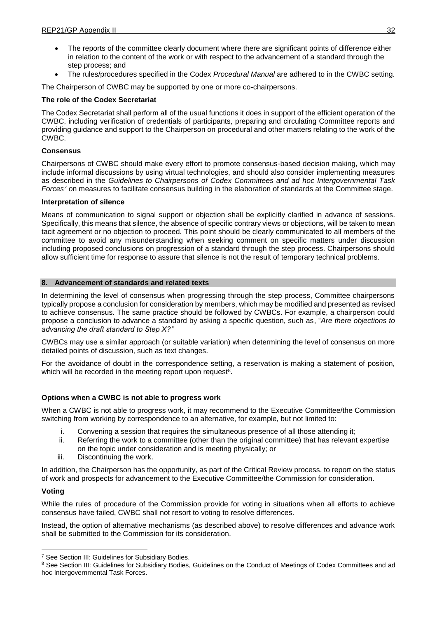- The reports of the committee clearly document where there are significant points of difference either in relation to the content of the work or with respect to the advancement of a standard through the step process; and
- The rules/procedures specified in the Codex *Procedural Manual* are adhered to in the CWBC setting.

The Chairperson of CWBC may be supported by one or more co-chairpersons.

### **The role of the Codex Secretariat**

The Codex Secretariat shall perform all of the usual functions it does in support of the efficient operation of the CWBC, including verification of credentials of participants, preparing and circulating Committee reports and providing guidance and support to the Chairperson on procedural and other matters relating to the work of the CWBC.

### **Consensus**

Chairpersons of CWBC should make every effort to promote consensus-based decision making, which may include informal discussions by using virtual technologies, and should also consider implementing measures as described in the *Guidelines to Chairpersons of Codex Committees and ad hoc Intergovernmental Task Forces<sup>7</sup>* on measures to facilitate consensus building in the elaboration of standards at the Committee stage.

### **Interpretation of silence**

Means of communication to signal support or objection shall be explicitly clarified in advance of sessions. Specifically, this means that silence, the absence of specific contrary views or objections, will be taken to mean tacit agreement or no objection to proceed. This point should be clearly communicated to all members of the committee to avoid any misunderstanding when seeking comment on specific matters under discussion including proposed conclusions on progression of a standard through the step process. Chairpersons should allow sufficient time for response to assure that silence is not the result of temporary technical problems.

### **8. Advancement of standards and related texts**

In determining the level of consensus when progressing through the step process, Committee chairpersons typically propose a conclusion for consideration by members, which may be modified and presented as revised to achieve consensus. The same practice should be followed by CWBCs. For example, a chairperson could propose a conclusion to advance a standard by asking a specific question, such as, "*Are there objections to advancing the draft standard to Step X?''*

CWBCs may use a similar approach (or suitable variation) when determining the level of consensus on more detailed points of discussion, such as text changes.

For the avoidance of doubt in the correspondence setting, a reservation is making a statement of position, which will be recorded in the meeting report upon request<sup>8</sup>.

## **Options when a CWBC is not able to progress work**

When a CWBC is not able to progress work, it may recommend to the Executive Committee/the Commission switching from working by correspondence to an alternative, for example, but not limited to:

- i. Convening a session that requires the simultaneous presence of all those attending it;
- ii. Referring the work to a committee (other than the original committee) that has relevant expertise on the topic under consideration and is meeting physically; or
- iii. Discontinuing the work.

In addition, the Chairperson has the opportunity, as part of the Critical Review process, to report on the status of work and prospects for advancement to the Executive Committee/the Commission for consideration.

## **Voting**

While the rules of procedure of the Commission provide for voting in situations when all efforts to achieve consensus have failed, CWBC shall not resort to voting to resolve differences.

Instead, the option of alternative mechanisms (as described above) to resolve differences and advance work shall be submitted to the Commission for its consideration.

<sup>1</sup> <sup>7</sup> See Section III: Guidelines for Subsidiary Bodies.

<sup>8</sup> See Section III: Guidelines for Subsidiary Bodies, Guidelines on the Conduct of Meetings of Codex Committees and ad hoc Intergovernmental Task Forces.